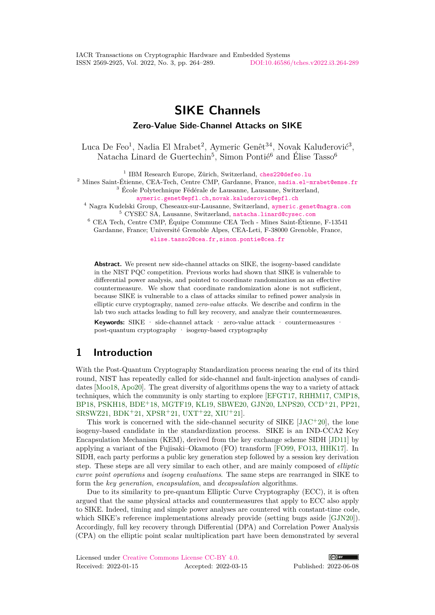# **SIKE Channels**

## **Zero-Value Side-Channel Attacks on SIKE**

Luca De Feo<sup>1</sup>, Nadia El Mrabet<sup>2</sup>, Aymeric Genêt<sup>34</sup>, Novak Kaluđerović<sup>3</sup>, Natacha Linard de Guertechin<sup>5</sup>, Simon Pontié<sup>6</sup> and Élise Tasso<sup>6</sup>

<sup>1</sup> IBM Research Europe, Zürich, Switzerland, [ches22@defeo.lu](mailto:ches22@defeo.lu)

<sup>2</sup> Mines Saint-Étienne, CEA-Tech, Centre CMP, Gardanne, France, [nadia.el-mrabet@emse.fr](mailto:nadia.el-mrabet@emse.fr)

<sup>3</sup> École Polytechnique Fédérale de Lausanne, Lausanne, Switzerland, [aymeric.genet@epfl.ch,novak.kaluderovic@epfl.ch](mailto:aymeric.genet@epfl.ch, novak.kaluderovic@epfl.ch)

<sup>4</sup> Nagra Kudelski Group, Cheseaux-sur-Lausanne, Switzerland, [aymeric.genet@nagra.com](mailto:aymeric.genet@nagra.com)

<sup>5</sup> CYSEC SA, Lausanne, Switzerland, [natacha.linard@cysec.com](mailto:natacha.linard@cysec.com)

<sup>6</sup> CEA Tech, Centre CMP, Équipe Commune CEA Tech - Mines Saint-Étienne, F-13541 Gardanne, France; Université Grenoble Alpes, CEA-Leti, F-38000 Grenoble, France, [elise.tasso2@cea.fr,simon.pontie@cea.fr](mailto:elise.tasso2@cea.fr, simon.pontie@cea.fr)

**Abstract.** We present new side-channel attacks on SIKE, the isogeny-based candidate in the NIST PQC competition. Previous works had shown that SIKE is vulnerable to differential power analysis, and pointed to coordinate randomization as an effective countermeasure. We show that coordinate randomization alone is not sufficient, because SIKE is vulnerable to a class of attacks similar to refined power analysis in elliptic curve cryptography, named *zero-value attacks*. We describe and confirm in the lab two such attacks leading to full key recovery, and analyze their countermeasures. **Keywords:** SIKE · side-channel attack · zero-value attack · countermeasures ·

post-quantum cryptography · isogeny-based cryptography

## **1 Introduction**

With the Post-Quantum Cryptography Standardization process nearing the end of its third round, NIST has repeatedly called for side-channel and fault-injection analyses of candidates [\[Moo18,](#page-23-0) [Apo20\]](#page-20-0). The great diversity of algorithms opens the way to a variety of attack techniques, which the community is only starting to explore [\[EFGT17,](#page-21-0) [RHHM17,](#page-24-0) [CMP18,](#page-20-1) [BP18,](#page-20-2) [PSKH18,](#page-23-1) [BDE](#page-20-3)<sup>+</sup>18, [MGTF19,](#page-23-2) [KL19,](#page-23-3) [SBWE20,](#page-24-1) [GJN20,](#page-21-1) [LNPS20,](#page-23-4) [CCD](#page-20-4)<sup>+</sup>21, [PP21,](#page-23-5) [SRSWZ21,](#page-24-2) [BDK](#page-20-5)<sup>+</sup>21, [XPSR](#page-25-0)<sup>+</sup>21, [UXT](#page-25-1)<sup>+</sup>22, [XIU](#page-25-2)<sup>+</sup>21].

This work is concerned with the side-channel security of  $SIKE$  [\[JAC](#page-22-0)<sup>+</sup>20], the lone isogeny-based candidate in the standardization process. SIKE is an IND-CCA2 Key Encapsulation Mechanism (KEM), derived from the key exchange scheme SIDH [\[JD11\]](#page-22-1) by applying a variant of the Fujisaki–Okamoto (FO) transform [\[FO99,](#page-21-2) [FO13,](#page-21-3) [HHK17\]](#page-22-2). In SIDH, each party performs a public key generation step followed by a session key derivation step. These steps are all very similar to each other, and are mainly composed of *elliptic curve point operations* and *isogeny evaluations*. The same steps are rearranged in SIKE to form the *key generation*, *encapsulation*, and *decapsulation* algorithms.

Due to its similarity to pre-quantum Elliptic Curve Cryptography (ECC), it is often argued that the same physical attacks and countermeasures that apply to ECC also apply to SIKE. Indeed, timing and simple power analyses are countered with constant-time code, which SIKE's reference implementations already provide (setting bugs aside [\[GJN20\]](#page-21-1)). Accordingly, full key recovery through Differential (DPA) and Correlation Power Analysis (CPA) on the elliptic point scalar multiplication part have been demonstrated by several

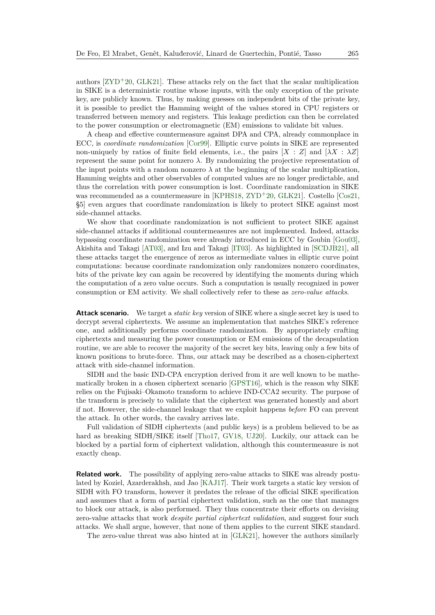authors  $[ZYD+20, GLK21]$  $[ZYD+20, GLK21]$  $[ZYD+20, GLK21]$ . These attacks rely on the fact that the scalar multiplication in SIKE is a deterministic routine whose inputs, with the only exception of the private key, are publicly known. Thus, by making guesses on independent bits of the private key, it is possible to predict the Hamming weight of the values stored in CPU registers or transferred between memory and registers. This leakage prediction can then be correlated to the power consumption or electromagnetic (EM) emissions to validate bit values.

A cheap and effective countermeasure against DPA and CPA, already commonplace in ECC, is *coordinate randomization* [\[Cor99\]](#page-21-4). Elliptic curve points in SIKE are represented non-uniquely by ratios of finite field elements, i.e., the pairs  $[X : Z]$  and  $[\lambda X : \lambda Z]$ represent the same point for nonzero  $\lambda$ . By randomizing the projective representation of the input points with a random nonzero  $\lambda$  at the beginning of the scalar multiplication, Hamming weights and other observables of computed values are no longer predictable, and thus the correlation with power consumption is lost. Coordinate randomization in SIKE was recommended as a countermeasure in [\[KPHS18,](#page-23-6) [ZYD](#page-25-3)<sup>+20</sup>, [GLK21\]](#page-22-3). Costello [\[Cos21,](#page-21-5) §5] even argues that coordinate randomization is likely to protect SIKE against most side-channel attacks.

We show that coordinate randomization is not sufficient to protect SIKE against side-channel attacks if additional countermeasures are not implemented. Indeed, attacks bypassing coordinate randomization were already introduced in ECC by Goubin [\[Gou03\]](#page-22-4), Akishita and Takagi [\[AT03\]](#page-20-6), and Izu and Takagi [\[IT03\]](#page-22-5). As highlighted in [\[SCDJB21\]](#page-24-3), all these attacks target the emergence of zeros as intermediate values in elliptic curve point computations: because coordinate randomization only randomizes nonzero coordinates, bits of the private key can again be recovered by identifying the moments during which the computation of a zero value occurs. Such a computation is usually recognized in power consumption or EM activity. We shall collectively refer to these as *zero-value attacks*.

**Attack scenario.** We target a *static key* version of SIKE where a single secret key is used to decrypt several ciphertexts. We assume an implementation that matches SIKE's reference one, and additionally performs coordinate randomization. By appropriately crafting ciphertexts and measuring the power consumption or EM emissions of the decapsulation routine, we are able to recover the majority of the secret key bits, leaving only a few bits of known positions to brute-force. Thus, our attack may be described as a chosen-ciphertext attack with side-channel information.

SIDH and the basic IND-CPA encryption derived from it are well known to be mathematically broken in a chosen ciphertext scenario [\[GPST16\]](#page-22-6), which is the reason why SIKE relies on the Fujisaki–Okamoto transform to achieve IND-CCA2 security. The purpose of the transform is precisely to validate that the ciphertext was generated honestly and abort if not. However, the side-channel leakage that we exploit happens *before* FO can prevent the attack. In other words, the cavalry arrives late.

Full validation of SIDH ciphertexts (and public keys) is a problem believed to be as hard as breaking SIDH/SIKE itself [\[Tho17,](#page-24-4) [GV18,](#page-22-7) [UJ20\]](#page-25-4). Luckily, our attack can be blocked by a partial form of ciphertext validation, although this countermeasure is not exactly cheap.

**Related work.** The possibility of applying zero-value attacks to SIKE was already postulated by Koziel, Azarderakhsh, and Jao [\[KAJ17\]](#page-23-7). Their work targets a static key version of SIDH with FO transform, however it predates the release of the official SIKE specification and assumes that a form of partial ciphertext validation, such as the one that manages to block our attack, is also performed. They thus concentrate their efforts on devising zero-value attacks that work *despite partial ciphertext validation*, and suggest four such attacks. We shall argue, however, that none of them applies to the current SIKE standard.

The zero-value threat was also hinted at in [\[GLK21\]](#page-22-3), however the authors similarly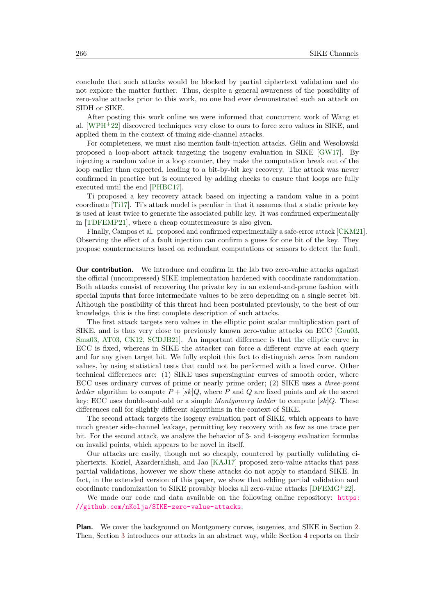conclude that such attacks would be blocked by partial ciphertext validation and do not explore the matter further. Thus, despite a general awareness of the possibility of zero-value attacks prior to this work, no one had ever demonstrated such an attack on SIDH or SIKE.

After posting this work online we were informed that concurrent work of Wang et al. [\[WPH](#page-25-5)<sup>+</sup>22] discovered techniques very close to ours to force zero values in SIKE, and applied them in the context of timing side-channel attacks.

For completeness, we must also mention fault-injection attacks. Gélin and Wesolowski proposed a loop-abort attack targeting the isogeny evaluation in SIKE [\[GW17\]](#page-22-8). By injecting a random value in a loop counter, they make the computation break out of the loop earlier than expected, leading to a bit-by-bit key recovery. The attack was never confirmed in practice but is countered by adding checks to ensure that loops are fully executed until the end [\[PHBC17\]](#page-23-8).

Ti proposed a key recovery attack based on injecting a random value in a point coordinate [\[Ti17\]](#page-24-5). Ti's attack model is peculiar in that it assumes that a static private key is used at least twice to generate the associated public key. It was confirmed experimentally in [\[TDFEMP21\]](#page-24-6), where a cheap countermeasure is also given.

Finally, Campos et al. proposed and confirmed experimentally a safe-error attack [\[CKM21\]](#page-20-7). Observing the effect of a fault injection can confirm a guess for one bit of the key. They propose countermeasures based on redundant computations or sensors to detect the fault.

**Our contribution.** We introduce and confirm in the lab two zero-value attacks against the official (uncompressed) SIKE implementation hardened with coordinate randomization. Both attacks consist of recovering the private key in an extend-and-prune fashion with special inputs that force intermediate values to be zero depending on a single secret bit. Although the possibility of this threat had been postulated previously, to the best of our knowledge, this is the first complete description of such attacks.

The first attack targets zero values in the elliptic point scalar multiplication part of SIKE, and is thus very close to previously known zero-value attacks on ECC [\[Gou03,](#page-22-4) [Sma03,](#page-24-7) [AT03,](#page-20-6) [CK12,](#page-20-8) [SCDJB21\]](#page-24-3). An important difference is that the elliptic curve in ECC is fixed, whereas in SIKE the attacker can force a different curve at each query and for any given target bit. We fully exploit this fact to distinguish zeros from random values, by using statistical tests that could not be performed with a fixed curve. Other technical differences are: (1) SIKE uses supersingular curves of smooth order, where ECC uses ordinary curves of prime or nearly prime order; (2) SIKE uses a *three-point ladder* algorithm to compute  $P + [sk]Q$ , where P and Q are fixed points and sk the secret key; ECC uses double-and-add or a simple *Montgomery ladder* to compute [*sk*]*Q*. These differences call for slightly different algorithms in the context of SIKE.

The second attack targets the isogeny evaluation part of SIKE, which appears to have much greater side-channel leakage, permitting key recovery with as few as one trace per bit. For the second attack, we analyze the behavior of 3- and 4-isogeny evaluation formulas on invalid points, which appears to be novel in itself.

Our attacks are easily, though not so cheaply, countered by partially validating ciphertexts. Koziel, Azarderakhsh, and Jao [\[KAJ17\]](#page-23-7) proposed zero-value attacks that pass partial validations, however we show these attacks do not apply to standard SIKE. In fact, in the extended version of this paper, we show that adding partial validation and coordinate randomization to SIKE provably blocks all zero-value attacks [\[DFEMG](#page-21-6)<sup>+</sup>22].

We made our code and data available on the following online repository: [https:](https://github.com/nKolja/SIKE-zero-value-attacks) [//github.com/nKolja/SIKE-zero-value-attacks](https://github.com/nKolja/SIKE-zero-value-attacks).

**Plan.** We cover the background on Montgomery curves, isogenies, and SIKE in Section [2.](#page-3-0) Then, Section [3](#page-6-0) introduces our attacks in an abstract way, while Section [4](#page-13-0) reports on their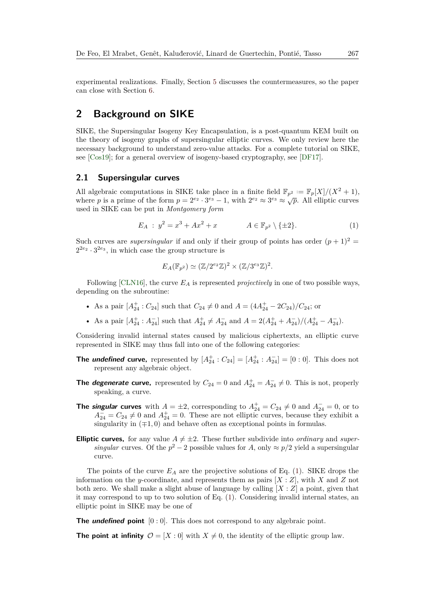experimental realizations. Finally, Section [5](#page-17-0) discusses the countermeasures, so the paper can close with Section [6.](#page-19-0)

## <span id="page-3-0"></span>**2 Background on SIKE**

SIKE, the Supersingular Isogeny Key Encapsulation, is a post-quantum KEM built on the theory of isogeny graphs of supersingular elliptic curves. We only review here the necessary background to understand zero-value attacks. For a complete tutorial on SIKE, see [\[Cos19\]](#page-21-7); for a general overview of isogeny-based cryptography, see [\[DF17\]](#page-21-8).

## <span id="page-3-2"></span>**2.1 Supersingular curves**

All algebraic computations in SIKE take place in a finite field  $\mathbb{F}_{p^2} := \mathbb{F}_p[X]/(X^2 + 1)$ , where *p* is a prime of the form  $p = 2^{e_2} \cdot 3^{e_3} - 1$ , with  $2^{e_2} \approx 3^{e_3} \approx \sqrt{p}$ . All elliptic curves used in SIKE can be put in *Montgomery form*

<span id="page-3-1"></span>
$$
E_A : y^2 = x^3 + Ax^2 + x \qquad A \in \mathbb{F}_{p^2} \setminus \{ \pm 2 \}. \tag{1}
$$

Such curves are *supersingular* if and only if their group of points has order  $(p+1)^2$  $2^{2e_2} \cdot 3^{2e_3}$ , in which case the group structure is

$$
E_A(\mathbb{F}_{p^2}) \simeq (\mathbb{Z}/2^{e_2}\mathbb{Z})^2 \times (\mathbb{Z}/3^{e_3}\mathbb{Z})^2.
$$

Following [\[CLN16\]](#page-20-9), the curve *E<sup>A</sup>* is represented *projectively* in one of two possible ways, depending on the subroutine:

- As a pair  $[A_{24}^+ : C_{24}]$  such that  $C_{24} \neq 0$  and  $A = (4A_{24}^+ 2C_{24})/C_{24}$ ; or
- As a pair  $[A_{24}^+ : A_{24}^-]$  such that  $A_{24}^+ \neq A_{24}^-$  and  $A = 2(A_{24}^+ + A_{24}^-)/((A_{24}^+ A_{24}^-)$ .

Considering invalid internal states caused by malicious ciphertexts, an elliptic curve represented in SIKE may thus fall into one of the following categories:

- **The** *undefined* curve, represented by  $[A_{24}^+ : C_{24}] = [A_{24}^+ : A_{24}^-] = [0 : 0]$ . This does not represent any algebraic object.
- **The** *degenerate* **curve,** represented by  $C_{24} = 0$  and  $A_{24}^+ = A_{24}^- \neq 0$ . This is not, properly speaking, a curve.
- **The singular curves** with  $A = \pm 2$ , corresponding to  $A_{24}^+ = C_{24} \neq 0$  and  $A_{24}^- = 0$ , or to  $A_{24}^- = C_{24} \neq 0$  and  $A_{24}^+ = 0$ . These are not elliptic curves, because they exhibit a singularity in  $(π1, 0)$  and behave often as exceptional points in formulas.
- **Elliptic curves,** for any value  $A \neq \pm 2$ . These further subdivide into *ordinary* and *supersingular* curves. Of the  $p^2 - 2$  possible values for *A*, only  $\approx p/2$  yield a supersingular curve.

The points of the curve  $E_A$  are the projective solutions of Eq. [\(1\)](#page-3-1). SIKE drops the information on the *y*-coordinate, and represents them as pairs [*X* : *Z*], with *X* and *Z* not both zero. We shall make a slight abuse of language by calling [*X* : *Z*] a point, given that it may correspond to up to two solution of Eq. [\(1\)](#page-3-1). Considering invalid internal states, an elliptic point in SIKE may be one of

**The** *undefined* point  $[0:0]$ . This does not correspond to any algebraic point.

**The point at infinity**  $\mathcal{O} = [X : 0]$  with  $X \neq 0$ , the identity of the elliptic group law.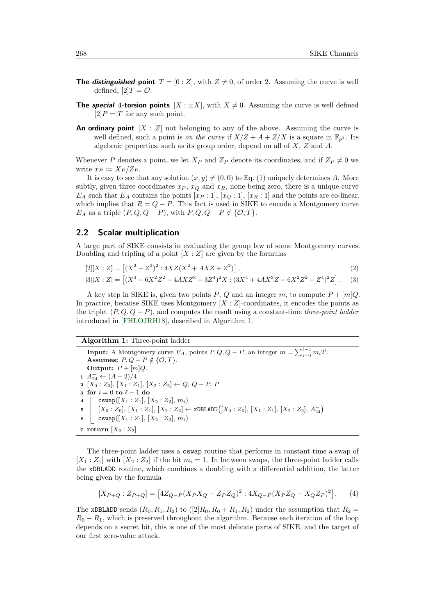- **The** *distinguished* point  $T = [0 : Z]$ , with  $Z \neq 0$ , of order 2. Assuming the curve is well defined,  $[2]T = \mathcal{O}$ .
- **The special 4-torsion points**  $[X : \pm X]$ , with  $X \neq 0$ . Assuming the curve is well defined  $[2]P = T$  for any such point.
- **An ordinary point**  $[X : Z]$  not belonging to any of the above. Assuming the curve is well defined, such a point is *on the curve* if  $X/Z + A + Z/X$  is a square in  $\mathbb{F}_{n^2}$ . Its algebraic properties, such as its group order, depend on all of *X*, *Z* and *A*.

Whenever *P* denotes a point, we let  $X_P$  and  $Z_P$  denote its coordinates, and if  $Z_P \neq 0$  we write  $x_P := X_P/Z_P$ .

It is easy to see that any solution  $(x, y) \neq (0, 0)$  to Eq. [\(1\)](#page-3-1) uniquely determines *A*. More subtly, given three coordinates  $x_P$ ,  $x_Q$  and  $x_R$ , none being zero, there is a unique curve  $E_A$  such that  $E_A$  contains the points  $[x_P:1]$ ,  $[x_Q:1]$ ,  $[x_R:1]$  and the points are co-linear, which implies that  $R = Q - P$ . This fact is used in SIKE to encode a Montgomery curve *E<sub>A</sub>* as a triple  $(P, Q, Q - P)$ , with  $P, Q, Q - P \notin \{O, T\}$ .

### <span id="page-4-1"></span>**2.2 Scalar multiplication**

A large part of SIKE consists in evaluating the group law of some Montgomery curves. Doubling and tripling of a point  $[X:Z]$  are given by the formulas

$$
[2|[X : Z] = [(X2 - Z2)2 : 4XZ(X2 + AXZ + Z2)],
$$
\n(2)

$$
[3][X : Z] = [(X^4 - 6X^2Z^2 - 4AXZ^3 - 3Z^4)^2X : (3X^4 + 4AX^3Z + 6X^2Z^2 - Z^4)^2Z].
$$
 (3)

A key step in SIKE is, given two points  $P$ ,  $Q$  and an integer  $m$ , to compute  $P + [m]Q$ . In practice, because SIKE uses Montgomery [*X* : *Z*]-coordinates, it encodes the points as the triplet (*P, Q, Q* − *P*), and computes the result using a constant-time *three-point ladder* introduced in [\[FHLOJRH18\]](#page-21-9), described in Algorithm [1.](#page-4-0)

### **Algorithm 1:** Three-point ladder

<span id="page-4-0"></span>**Input:** A Montgomery curve  $E_A$ , points  $P, Q, Q - P$ , an integer  $m = \sum_{i=0}^{\ell-1} m_i 2^i$ . **Assumes:**  $P, Q - P \notin \{O, T\}.$ **Output:**  $P + [m]Q$ .  $A_{24}^+ \leftarrow (A+2)/4$  [*X*<sup>0</sup> : *Z*0]*,* [*X*<sup>1</sup> : *Z*1]*,* [*X*<sup>2</sup> : *Z*2] ← *Q, Q* − *P, P* **for**  $i = 0$  **to**  $\ell - 1$  **do**  cswap( $[X_1 : Z_1]$ ,  $[X_2 : Z_2]$ ,  $m_i$ ) [*X*<sup>0</sup> : *Z*0]*,* [*X*<sup>1</sup> : *Z*1]*,* [*X*<sup>2</sup> : *Z*2] ← xDBLADD [*X*<sup>0</sup> : *Z*0]*,* [*X*<sup>1</sup> : *Z*1]*,* [*X*<sup>2</sup> : *Z*2]*, A*<sup>+</sup> 24 cswap( $[X_1 : Z_1]$ ,  $[X_2 : Z_2]$ ,  $m_i$ ) **return**  $[X_2 : Z_2]$ 

<span id="page-4-2"></span>The three-point ladder uses a cswap routine that performs in constant time a swap of  $[X_1 : Z_1]$  with  $[X_2 : Z_2]$  if the bit  $m_i = 1$ . In between swaps, the three-point ladder calls the xDBLADD routine, which combines a doubling with a differential addition, the latter being given by the formula

$$
[X_{P+Q} : Z_{P+Q}] = [4Z_{Q-P}(X_P X_Q - Z_P Z_Q)^2 : 4X_{Q-P}(X_P Z_Q - X_Q Z_P)^2].
$$
 (4)

The xDBLADD sends  $(R_0, R_1, R_2)$  to  $([2]R_0, R_0 + R_1, R_2)$  under the assumption that  $R_2$  $R_0 - R_1$ , which is preserved throughout the algorithm. Because each iteration of the loop depends on a secret bit, this is one of the most delicate parts of SIKE, and the target of our first zero-value attack.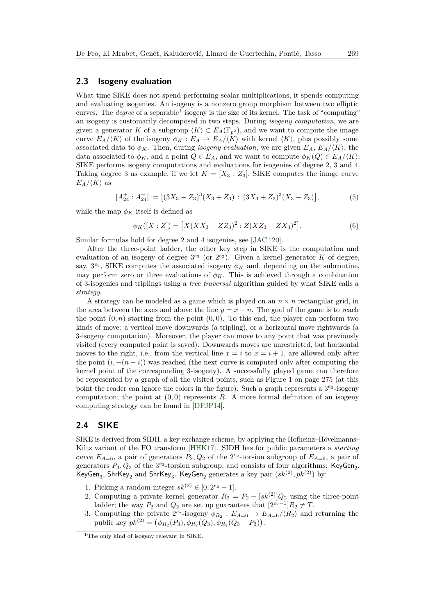#### <span id="page-5-1"></span>**2.3 Isogeny evaluation**

What time SIKE does not spend performing scalar multiplications, it spends computing and evaluating isogenies. An isogeny is a nonzero group morphism between two elliptic curves. The *degree* of a separable<sup>[1](#page-5-0)</sup> isogeny is the size of its kernel. The task of "computing" an isogeny is customarily decomposed in two steps. During *isogeny computation*, we are given a generator *K* of a subgroup  $\langle K \rangle \subset E_A(\mathbb{F}_{p^2})$ , and we want to compute the image curve  $E_A/\langle K \rangle$  of the isogeny  $\phi_K : E_A \to E_A/\langle K \rangle$  with kernel  $\langle K \rangle$ , plus possibly some associated data to  $\phi_K$ . Then, during *isogeny evaluation*, we are given  $E_A$ ,  $E_A/\langle K \rangle$ , the data associated to  $\phi_K$ , and a point  $Q \in E_A$ , and we want to compute  $\phi_K(Q) \in E_A/\langle K \rangle$ . SIKE performs isogeny computations and evaluations for isogenies of degree 2, 3 and 4. Taking degree 3 as example, if we let  $K = [X_3 : Z_3]$ , SIKE computes the image curve  $E_A/\langle K \rangle$  as

$$
[A_{24}^+ : A_{24}^-] := [(3X_3 - Z_3)^3 (X_3 + Z_3) : (3X_3 + Z_3)^3 (X_3 - Z_3)],
$$
 (5)

while the map  $\phi_K$  itself is defined as

$$
\phi_K([X:Z]) = [X(XX_3 - ZZ_3)^2 : Z(XZ_3 - ZX_3)^2]. \tag{6}
$$

Similar formulas hold for degree 2 and 4 isogenies, see [\[JAC](#page-22-0)<sup>+</sup>20].

After the three-point ladder, the other key step in SIKE is the computation and evaluation of an isogeny of degree  $3^{e_3}$  (or  $2^{e_2}$ ). Given a kernel generator *K* of degree, say,  $3^{e_3}$ , SIKE computes the associated isogeny  $\phi_K$  and, depending on the subroutine, may perform zero or three evaluations of  $\phi_K$ . This is achieved through a combination of 3-isogenies and triplings using a *tree traversal* algorithm guided by what SIKE calls a *strategy*.

A strategy can be modeled as a game which is played on an  $n \times n$  rectangular grid, in the area between the axes and above the line  $y = x - n$ . The goal of the game is to reach the point  $(0, n)$  starting from the point  $(0, 0)$ . To this end, the player can perform two kinds of move: a vertical move downwards (a tripling), or a horizontal move rightwards (a 3-isogeny computation). Moreover, the player can move to any point that was previously visited (every computed point is saved). Downwards moves are unrestricted, but horizontal moves to the right, i.e., from the vertical line  $x = i$  to  $x = i + 1$ , are allowed only after the point  $(i, -(n - i))$  was reached (the next curve is computed only after computing the kernel point of the corresponding 3-isogeny). A successfully played game can therefore be represented by a graph of all the visited points, such as Figure [1](#page-11-0) on page [275](#page-11-0) (at this point the reader can ignore the colors in the figure). Such a graph represents a  $3^{e_3}$ -isogeny computation; the point at  $(0,0)$  represents *R*. A more formal definition of an isogeny computing strategy can be found in [\[DFJP14\]](#page-21-10).

## <span id="page-5-2"></span>**2.4 SIKE**

SIKE is derived from SIDH, a key exchange scheme, by applying the Hofheinz–Hövelmanns– Kiltz variant of the FO transform [\[HHK17\]](#page-22-2). SIDH has for public parameters a *starting curve*  $E_{A=6}$ , a pair of generators  $P_2, Q_2$  of the  $2^{e_2}$ -torsion subgroup of  $E_{A=6}$ , a pair of generators  $P_3, Q_3$  of the  $3^{e_3}$ -torsion subgroup, and consists of four algorithms: KeyGen<sub>2</sub>, KeyGen<sub>3</sub>, ShrKey<sub>2</sub> and ShrKey<sub>3</sub>. KeyGen<sub>2</sub> generates a key pair  $({\mathit{sk}}^{(2)},{\mathit{pk}}^{(2)})$  by:

- 1. Picking a random integer  $sk^{(2)} \in [0, 2^{e_2} 1]$ .
- 2. Computing a private kernel generator  $R_2 = P_2 + [sk^{(2)}]Q_2$  using the three-point ladder; the way  $P_2$  and  $Q_2$  are set up guarantees that  $[2^{e_2-1}]R_2 \neq T$ .
- 3. Computing the private  $2^{e_2}$ -isogeny  $\phi_{R_2}: E_{A=6} \to E_{A=6}/\langle R_2 \rangle$  and returning the public key  $pk^{(2)} = (\phi_{R_2}(P_3), \phi_{R_2}(Q_3), \phi_{R_2}(Q_3 - P_3)).$

<span id="page-5-0"></span><sup>&</sup>lt;sup>1</sup>The only kind of isogeny relevant in SIKE.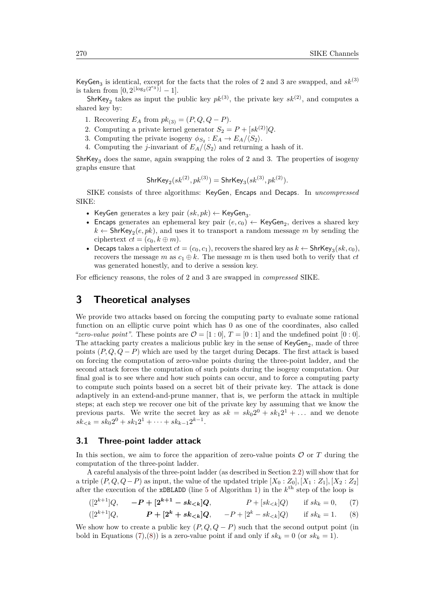KeyGen<sub>3</sub> is identical, except for the facts that the roles of 2 and 3 are swapped, and  $sk^{(3)}$ is taken from  $[0, 2^{\lfloor \log_2(2^{e_3}) \rfloor} - 1]$ .

ShrKey<sub>2</sub> takes as input the public key  $pk^{(3)}$ , the private key  $sk^{(2)}$ , and computes a shared key by:

- 1. Recovering  $E_A$  from  $pk_{(3)} = (P, Q, Q P)$ .
- 2. Computing a private kernel generator  $S_2 = P + [sk^{(2)}]Q$ .
- 3. Computing the private isogeny  $\phi_{S_2}: E_A \to E_A/\langle S_2 \rangle$ .
- 4. Computing the *j*-invariant of  $E_A/\langle S_2 \rangle$  and returning a hash of it.

 $\text{ShrKey}_3$  does the same, again swapping the roles of 2 and 3. The properties of isogeny graphs ensure that

ShrKey<sub>2</sub>
$$
(sk^{(2)}, pk^{(3)})
$$
 = ShrKey<sub>3</sub> $(sk^{(3)}, pk^{(2)})$ .

SIKE consists of three algorithms: KeyGen, Encaps and Decaps. In *uncompressed* SIKE:

- KeyGen generates a key pair  $(sk, pk) \leftarrow \text{KeyGen}_3$ .
- Encaps generates an ephemeral key pair  $(e, c_0) \leftarrow \text{KeyGen}_2$ , derives a shared key  $k \leftarrow$  ShrKey<sub>2</sub> $(e, pk)$ , and uses it to transport a random message *m* by sending the ciphertext  $ct = (c_0, k \oplus m)$ .
- Decaps takes a ciphertext  $ct = (c_0, c_1)$ , recovers the shared key as  $k \leftarrow$  ShrKey<sub>3</sub> $(sk, c_0)$ , recovers the message *m* as  $c_1 \oplus k$ . The message *m* is then used both to verify that *ct* was generated honestly, and to derive a session key.

For efficiency reasons, the roles of 2 and 3 are swapped in *compressed* SIKE.

## <span id="page-6-0"></span>**3 Theoretical analyses**

We provide two attacks based on forcing the computing party to evaluate some rational function on an elliptic curve point which has 0 as one of the coordinates, also called *"zero-value point"*. These points are  $\mathcal{O} = [1:0], T = [0:1]$  and the undefined point  $[0:0].$ The attacking party creates a malicious public key in the sense of  $KeyGen_2$ , made of three points  $(P, Q, Q - P)$  which are used by the target during Decaps. The first attack is based on forcing the computation of zero-value points during the three-point ladder, and the second attack forces the computation of such points during the isogeny computation. Our final goal is to see where and how such points can occur, and to force a computing party to compute such points based on a secret bit of their private key. The attack is done adaptively in an extend-and-prune manner, that is, we perform the attack in multiple steps; at each step we recover one bit of the private key by assuming that we know the previous parts. We write the secret key as  $sk = sk_0 2^0 + sk_1 2^1 + ...$  and we denote  $sk_{$ 

## <span id="page-6-3"></span>**3.1 Three-point ladder attack**

In this section, we aim to force the apparition of zero-value points  $\mathcal O$  or  $T$  during the computation of the three-point ladder.

A careful analysis of the three-point ladder (as described in Section [2.2\)](#page-4-1) will show that for a triple  $(P, Q, Q - P)$  as input, the value of the updated triple  $[X_0 : Z_0], [X_1 : Z_1], [X_2 : Z_2]$ after the execution of the **xDBLADD** (line [5](#page-4-2) of Algorithm [1\)](#page-4-0) in the  $k^{\text{th}}$  step of the loop is

<span id="page-6-2"></span><span id="page-6-1"></span>
$$
([2^{k+1}]Q, \quad -P+[2^{k+1}-sk_{< k}]Q, \quad P+[sk_{< k}]Q) \quad \text{if } sk_k = 0,
$$
 (7)

$$
([2k+1]Q, \t P + [2k + sk (8)
$$

We show how to create a public key  $(P, Q, Q - P)$  such that the second output point (in bold in Equations [\(7\)](#page-6-1),[\(8\)](#page-6-2)) is a zero-value point if and only if  $sk_k = 0$  (or  $sk_k = 1$ ).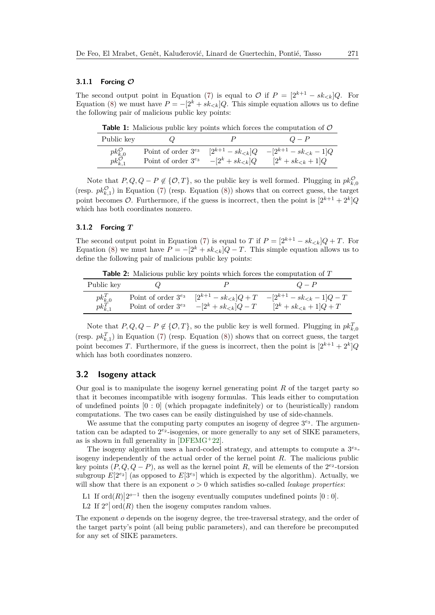#### **3.1.1 Forcing O**

The second output point in Equation [\(7\)](#page-6-1) is equal to  $\mathcal{O}$  if  $P = [2^{k+1} - sk_{\leq k}]Q$ . For Equation [\(8\)](#page-6-2) we must have  $P = -[2^k + sk_{\leq k}]Q$ . This simple equation allows us to define the following pair of malicious public key points:

| <b>Table 1:</b> Malicious public key points which forces the computation of $\mathcal{O}$ |  |  |  |  |  |
|-------------------------------------------------------------------------------------------|--|--|--|--|--|
|-------------------------------------------------------------------------------------------|--|--|--|--|--|

| Public key                                                                       |                                                   |                         | $Q - P$                      |
|----------------------------------------------------------------------------------|---------------------------------------------------|-------------------------|------------------------------|
|                                                                                  | Point of order $3^{e_3}$                          | $[2^{k+1} - sk_{< k}]Q$ | $-[2^{k+1} - sk_{< k} - 1]Q$ |
| $\begin{matrix} p k_{k,0}^{\mathcal{O}} \\ p k_{k,1}^{\mathcal{O}} \end{matrix}$ | Point of order $3^{e_3}$ - $[2^k + sk_{\leq k}]Q$ |                         | $[2^k + sk_{< k} + 1]Q$      |

Note that  $P, Q, Q - P \notin \{O, T\}$ , so the public key is well formed. Plugging in  $pk_{k,0}^{\mathcal{O}}$ (resp.  $pk_{k,1}^{\mathcal{O}}$ ) in Equation [\(7\)](#page-6-1) (resp. Equation [\(8\)](#page-6-2)) shows that on correct guess, the target point becomes  $\mathcal{O}$ . Furthermore, if the guess is incorrect, then the point is  $[2^{k+1} + 2^k]Q$ which has both coordinates nonzero.

## **3.1.2 Forcing** *T*

The second output point in Equation [\(7\)](#page-6-1) is equal to *T* if  $P = [2^{k+1} - sk_{\lt k}]Q + T$ . For Equation [\(8\)](#page-6-2) we must have  $P = -[2^k + sk_{\leq k}](Q - T)$ . This simple equation allows us to define the following pair of malicious public key points:

**Table 2:** Malicious public key points which forces the computation of *T*

| Public key                                               |                          |                             |                             |
|----------------------------------------------------------|--------------------------|-----------------------------|-----------------------------|
| $\begin{array}{c} p k_{k,0}^T \ p k_{k,1}^T \end{array}$ | Point of order $3^{e_3}$ | $[2^{k+1} - sk_{< k}]Q + T$ | $-[2^{k+1}-sk_{<k}-1]Q-T$   |
|                                                          | Point of order $3^{e_3}$ | $-[2^k + sk_{\leq k}]Q - T$ | $[2^k + sk_{< k} + 1]Q + T$ |

Note that  $P, Q, Q - P \notin \{O, T\}$ , so the public key is well formed. Plugging in  $pk_{k,0}^T$ (resp.  $pk_{k,1}^T$ ) in Equation [\(7\)](#page-6-1) (resp. Equation [\(8\)](#page-6-2)) shows that on correct guess, the target point becomes *T*. Furthermore, if the guess is incorrect, then the point is  $[2^{k+1} + 2^k]Q$ which has both coordinates nonzero.

### <span id="page-7-2"></span>**3.2 Isogeny attack**

Our goal is to manipulate the isogeny kernel generating point *R* of the target party so that it becomes incompatible with isogeny formulas. This leads either to computation of undefined points [0 : 0] (which propagate indefinitely) or to (heuristically) random computations. The two cases can be easily distinguished by use of side-channels.

We assume that the computing party computes an isogeny of degree  $3^{e_3}$ . The argumentation can be adapted to  $2^{e_2}$ -isogenies, or more generally to any set of SIKE parameters, as is shown in full generality in  $[DFEMG^+22]$  $[DFEMG^+22]$ .

The isogeny algorithm uses a hard-coded strategy, and attempts to compute a  $3^{e_3}$ isogeny independently of the actual order of the kernel point *R*. The malicious public key points  $(P, Q, Q - P)$ , as well as the kernel point R, will be elements of the  $2^{e_2}$ -torsion subgroup  $E[2^{e_2}]$  (as opposed to  $E[3^{e_3}]$  which is expected by the algorithm). Actually, we will show that there is an exponent  $o > 0$  which satisfies so-called *leakage properties*:

<span id="page-7-0"></span>L1 If  $\text{ord}(R)|2^{o-1}$  then the isogeny eventually computes undefined points  $[0:0]$ .

<span id="page-7-1"></span>L2 If  $2^o$  ord $(R)$  then the isogeny computes random values.

The exponent *o* depends on the isogeny degree, the tree-traversal strategy, and the order of the target party's point (all being public parameters), and can therefore be precomputed for any set of SIKE parameters.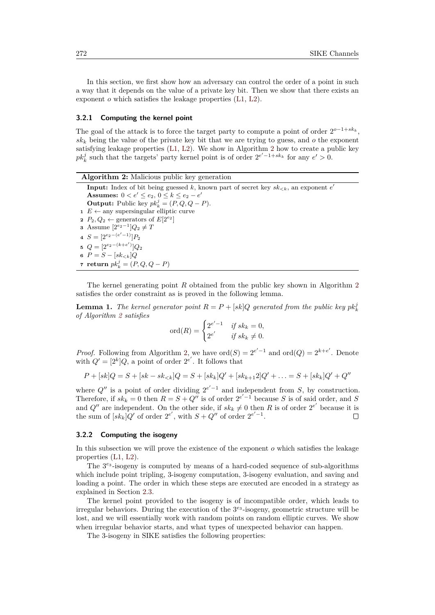In this section, we first show how an adversary can control the order of a point in such a way that it depends on the value of a private key bit. Then we show that there exists an exponent *o* which satisfies the leakage properties [\(L1,](#page-7-0) [L2\)](#page-7-1).

#### **3.2.1 Computing the kernel point**

The goal of the attack is to force the target party to compute a point of order  $2^{o-1+sk_k}$ ,  $sk_k$  being the value of the private key bit that we are trying to guess, and  $o$  the exponent satisfying leakage properties  $(L1, L2)$  $(L1, L2)$  $(L1, L2)$ . We show in Algorithm [2](#page-8-0) how to create a public key  $pk_k^j$  such that the targets' party kernel point is of order  $2^{e' - 1 + sk_k}$  for any  $e' > 0$ .

<span id="page-8-0"></span>

| <b>Algorithm 2:</b> Malicious public key generation                                                 |
|-----------------------------------------------------------------------------------------------------|
| <b>Input:</b> Index of bit being guessed k, known part of secret key $sk_{\leq k}$ , an exponent e' |
| <b>Assumes:</b> $0 < e' \le e_2, 0 \le k \le e_2 - e'$                                              |
| <b>Output:</b> Public key $pk_k^j = (P, Q, Q - P)$ .                                                |
| $1 E \leftarrow$ any supersingular elliptic curve                                                   |
| 2 $P_2, Q_2 \leftarrow$ generators of $E[2^{e_2}]$                                                  |
| <b>3</b> Assume $[2^{e_2-1}]Q_2 \neq T$                                                             |
| 4 $S = [2^{e_2 - (e' - 1)}]P_2$                                                                     |
| 5 $Q = [2^{e_2-(k+e')}]Q_2$                                                                         |
| 6 $P = S - [sk_{\le k}]Q$                                                                           |
| 7 return $pk_k^j = (P, Q, Q - P)$                                                                   |

The kernel generating point *R* obtained from the public key shown in Algorithm [2](#page-8-0) satisfies the order constraint as is proved in the following lemma.

**Lemma 1.** *The kernel generator point*  $R = P + [sk]Q$  *generated from the public key*  $pk_k^j$ *of Algorithm [2](#page-8-0) satisfies*

$$
\text{ord}(R) = \begin{cases} 2^{e'-1} & \text{if } sk_k = 0, \\ 2^{e'} & \text{if } sk_k \neq 0. \end{cases}
$$

*Proof.* Following from Algorithm [2,](#page-8-0) we have  $\text{ord}(S) = 2^{e'-1}$  and  $\text{ord}(Q) = 2^{k+e'}$ . Denote with  $Q' = [2^k]Q$ , a point of order  $2^{e'}$ . It follows that

$$
P + [sk]Q = S + [sk - sk_{<}]Q = S + [sk_k]Q' + [sk_{k+1}2]Q' + \ldots = S + [sk_k]Q' + Q''
$$

where  $Q''$  is a point of order dividing  $2^{e'-1}$  and independent from *S*, by construction. Therefore, if  $sk_k = 0$  then  $R = S + Q^W$  is of order  $2^{e'-1}$  because *S* is of said order, and *S* and  $Q''$  are independent. On the other side, if  $sk_k \neq 0$  then R is of order  $2^{e'}$  because it is the sum of  $[sk_k]Q'$  of order  $2^{e'}$ , with  $S + Q''$  of order  $2^{e' - 1}$ .  $\Box$ 

## **3.2.2 Computing the isogeny**

In this subsection we will prove the existence of the exponent *o* which satisfies the leakage properties [\(L1,](#page-7-0) [L2\)](#page-7-1).

The  $3^{e_3}$ -isogeny is computed by means of a hard-coded sequence of sub-algorithms which include point tripling, 3-isogeny computation, 3-isogeny evaluation, and saving and loading a point. The order in which these steps are executed are encoded in a strategy as explained in Section [2.3.](#page-5-1)

The kernel point provided to the isogeny is of incompatible order, which leads to irregular behaviors. During the execution of the  $3^{e_3}$ -isogeny, geometric structure will be lost, and we will essentially work with random points on random elliptic curves. We show when irregular behavior starts, and what types of unexpected behavior can happen.

The 3-isogeny in SIKE satisfies the following properties: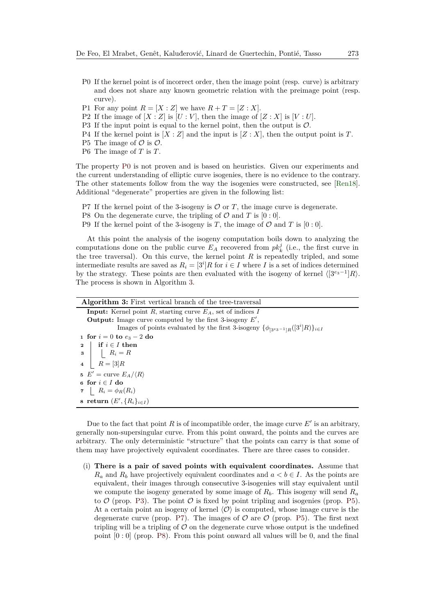- <span id="page-9-0"></span>P0 If the kernel point is of incorrect order, then the image point (resp. curve) is arbitrary and does not share any known geometric relation with the preimage point (resp. curve).
- P1 For any point  $R = [X : Z]$  we have  $R + T = [Z : X]$ .
- <span id="page-9-6"></span>P2 If the image of  $[X : Z]$  is  $[U : V]$ , then the image of  $[Z : X]$  is  $[V : U]$ .
- <span id="page-9-2"></span>P3 If the input point is equal to the kernel point, then the output is  $\mathcal{O}$ .
- <span id="page-9-7"></span>P4 If the kernel point is  $[X:Z]$  and the input is  $[Z:X]$ , then the output point is  $T$ .
- <span id="page-9-3"></span>P5 The image of  $\mathcal O$  is  $\mathcal O$ .
- <span id="page-9-8"></span>P6 The image of *T* is *T*.

The property [P0](#page-9-0) is not proven and is based on heuristics. Given our experiments and the current understanding of elliptic curve isogenies, there is no evidence to the contrary. The other statements follow from the way the isogenies were constructed, see [\[Ren18\]](#page-24-8). Additional "degenerate" properties are given in the following list:

- <span id="page-9-4"></span>P7 If the kernel point of the 3-isogeny is  $\mathcal{O}$  or  $T$ , the image curve is degenerate.
- <span id="page-9-5"></span>P8 On the degenerate curve, the tripling of  $\mathcal O$  and  $T$  is  $[0:0]$ .
- <span id="page-9-9"></span>P9 If the kernel point of the 3-isogeny is *T*, the image of  $\mathcal{O}$  and *T* is [0 : 0].

At this point the analysis of the isogeny computation boils down to analyzing the computations done on the public curve  $E_A$  recovered from  $pk_k^j$  (i.e., the first curve in the tree traversal). On this curve, the kernel point *R* is repeatedly tripled, and some intermediate results are saved as  $R_i = [3^i]R$  for  $i \in I$  where *I* is a set of indices determined by the strategy. These points are then evaluated with the isogeny of kernel  $\langle 3^{e_3-1} | R \rangle$ . The process is shown in Algorithm [3.](#page-9-1)

<span id="page-9-1"></span>

| <b>Algorithm 3:</b> First vertical branch of the tree-traversal                            |
|--------------------------------------------------------------------------------------------|
| <b>Input:</b> Kernel point R, starting curve $E_A$ , set of indices I                      |
| <b>Output:</b> Image curve computed by the first 3-isogeny $E'$ ,                          |
| Images of points evaluated by the first 3-isogeny $\{\phi_{3^{e_3-1}R}([3^n]R)\}_{i\in I}$ |
| 1 for $i = 0$ to $e_3 - 2$ do                                                              |
| if $i \in I$ then<br>$\mathbf{2}$                                                          |
| $\begin{array}{c c} \mathbf{3} & R_i = R \end{array}$                                      |
| 4 $R = \begin{bmatrix} 3 \end{bmatrix} R$                                                  |
| 5 $E' =$ curve $E_A/\langle R \rangle$                                                     |
| 6 for $i \in I$ do                                                                         |
| 7 $R_i = \phi_R(R_i)$                                                                      |
| s return $(E', \{R_i\}_{i \in I})$                                                         |

Due to the fact that point  $R$  is of incompatible order, the image curve  $E'$  is an arbitrary, generally non-supersingular curve. From this point onward, the points and the curves are arbitrary. The only deterministic "structure" that the points can carry is that some of them may have projectively equivalent coordinates. There are three cases to consider.

<span id="page-9-10"></span>(i) **There is a pair of saved points with equivalent coordinates.** Assume that  $R_a$  and  $R_b$  have projectively equivalent coordinates and  $a < b \in I$ . As the points are equivalent, their images through consecutive 3-isogenies will stay equivalent until we compute the isogeny generated by some image of  $R_b$ . This isogeny will send  $R_a$ to  $\mathcal{O}$  (prop. [P3\)](#page-9-2). The point  $\mathcal{O}$  is fixed by point tripling and isogenies (prop. [P5\)](#page-9-3). At a certain point an isogeny of kernel  $\langle \mathcal{O} \rangle$  is computed, whose image curve is the degenerate curve (prop. [P7\)](#page-9-4). The images of  $\mathcal O$  are  $\mathcal O$  (prop. [P5\)](#page-9-3). The first next tripling will be a tripling of  $\mathcal O$  on the degenerate curve whose output is the undefined point  $[0:0]$  (prop. [P8\)](#page-9-5). From this point onward all values will be 0, and the final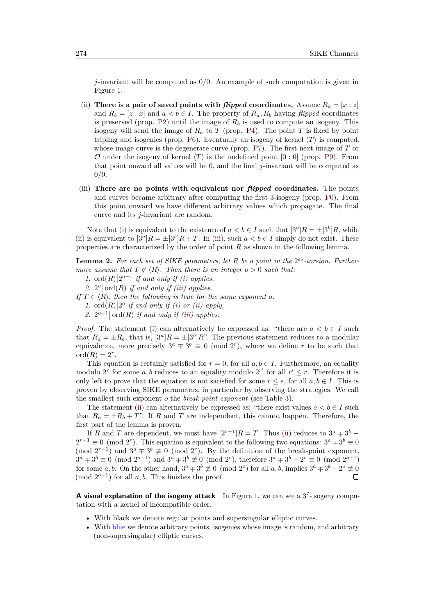*j*-invariant will be computed as 0*/*0. An example of such computation is given in Figure [1.](#page-11-0)

- <span id="page-10-0"></span>(ii) **There is a pair of saved points with** *flipped* **coordinates.** Assume  $R_a = [x : z]$ and  $R_b = [z : x]$  and  $a < b \in I$ . The property of  $R_a, R_b$  having *flipped* coordinates is preserved (prop. [P2\)](#page-9-6) until the image of  $R_b$  is used to compute an isogeny. This isogeny will send the image of  $R_a$  to  $T$  (prop. [P4\)](#page-9-7). The point  $T$  is fixed by point tripling and isogenies (prop. [P6\)](#page-9-8). Eventually an isogeny of kernel  $\langle T \rangle$  is computed, whose image curve is the degenerate curve (prop. [P7\)](#page-9-4). The first next image of *T* or O under the isogeny of kernel  $\langle T \rangle$  is the undefined point  $[0 : 0]$  (prop. [P9\)](#page-9-9). From that point onward all values will be 0, and the final *j*-invariant will be computed as 0*/*0.
- <span id="page-10-1"></span>(iii) **There are no points with equivalent nor** *flipped* **coordinates.** The points and curves became arbitrary after computing the first 3-isogeny (prop. [P0\)](#page-9-0). From this point onward we have different arbitrary values which propagate. The final curve and its *j*-invariant are random.

Note that [\(i\)](#page-9-10) is equivalent to the existence of  $a < b \in I$  such that  $[3^a]R = \pm [3^b]R$ , while [\(ii\)](#page-10-0) is equivalent to  $[3^a]R = \pm [3^b]R + T$ . In [\(iii\),](#page-10-1) such  $a < b \in I$  simply do not exist. These properties are characterized by the order of point *R* as shown in the following lemma.

<span id="page-10-2"></span>**Lemma 2.** For each set of SIKE parameters, let R be a point in the  $2^{e_2}$ -torsion. Further*more assume that*  $T \notin \langle R \rangle$ *. Then there is an integer*  $o > 0$  *such that:* 

1. ord $(R)$ |2<sup>o-1</sup> if and only if [\(i\)](#page-9-10) applies,

2.  $2^o$  ord(*R*) *if and only if [\(iii\)](#page-10-1) applies.* 

*If*  $T \in \langle R \rangle$ *, then the following is true for the same exponent o:* 

1. ord $(R)$  |2<sup>o</sup> if and only if [\(i\)](#page-9-10) or [\(ii\)](#page-10-0) apply,

2.  $2^{o+1}$  ord(*R*) *if and only if [\(iii\)](#page-10-1) applies.* 

*Proof.* The statement [\(i\)](#page-9-10) can alternatively be expressed as: "there are  $a < b \in I$  such that  $R_a = \pm R_b$ , that is,  $[3^a]R = \pm [3^b]R$ ". The previous statement reduces to a modular equivalence, more precisely  $3^a \mp 3^b \equiv 0 \pmod{2^r}$ , where we define *r* to be such that  $\mathrm{ord}(R)=2^r.$ 

This equation is certainly satisfied for  $r = 0$ , for all  $a, b \in I$ . Furthermore, an equality modulo 2<sup>*r*</sup> for some *a*, *b* reduces to an equality modulo 2<sup>*r'*</sup> for all  $r' \leq r$ . Therefore it is only left to prove that the equation is not satisfied for some  $r \leq e$ , for all  $a, b \in I$ . This is proven by observing SIKE parameters, in particular by observing the strategies. We call the smallest such exponent *o* the *break-point exponent* (see Table [3\)](#page-12-0).

The statement [\(ii\)](#page-10-0) can alternatively be expressed as: "there exist values  $a < b \in I$  such that  $R_a = \pm R_b + T$ ". If *R* and *T* are independent, this cannot happen. Therefore, the first part of the lemma is proven.

If *R* and *T* are dependent, we must have  $[2^{r-1}]R = T$ . Thus [\(ii\)](#page-10-0) reduces to  $3^a \mp 3^b$  –  $2^{r-1} \equiv 0 \pmod{2^r}$ . This equation is equivalent to the following two equations:  $3^a \mp 3^b \equiv 0$ (mod  $2^{r-1}$ ) and  $3^a \mp 3^b \not\equiv 0 \pmod{2^r}$ . By the definition of the break-point exponent,  $3^a \mp 3^b \equiv 0 \pmod{2^{o-1}}$  and  $3^a \mp 3^b \not\equiv 0 \pmod{2^o}$ , therefore  $3^a \mp 3^b - 2^o \equiv 0 \pmod{2^{o+1}}$ for some *a*, *b*. On the other hand,  $3^a \mp 3^b \not\equiv 0 \pmod{2^o}$  for all *a*, *b*, implies  $3^a \mp 3^b - 2^o \not\equiv 0$  $\pmod{2^{o+1}}$  for all *a, b.* This finishes the proof.  $\Box$ 

A visual explanation of the isogeny attack In Figure [1,](#page-11-0) we can see a 3<sup>7</sup>-isogeny computation with a kernel of incompatible order.

- With black we denote regular points and supersingular elliptic curves.
- With blue we denote arbitrary points, isogenies whose image is random, and arbitrary (non-supersingular) elliptic curves.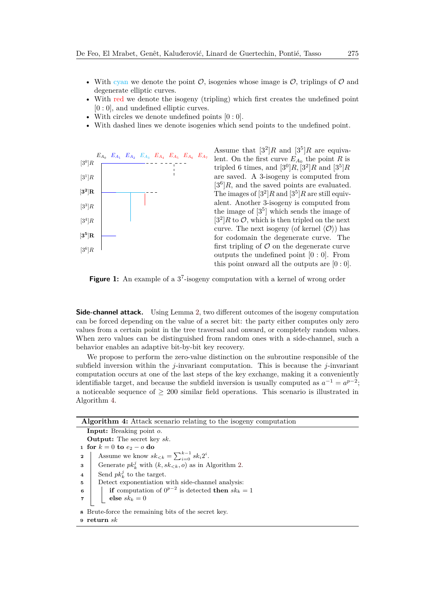- With cyan we denote the point  $\mathcal{O}$ , isogenies whose image is  $\mathcal{O}$ , triplings of  $\mathcal{O}$  and degenerate elliptic curves.
- With red we denote the isogeny (tripling) which first creates the undefined point [0 : 0], and undefined elliptic curves.
- With circles we denote undefined points  $[0:0]$ .
- With dashed lines we denote isogenies which send points to the undefined point.

<span id="page-11-0"></span>

Assume that  $[3^2]R$  and  $[3^5]R$  are equivalent. On the first curve  $E_{A_0}$  the point  $R$  is tripled 6 times, and  $[3^0]R$ ,  $[3^2]R$  and  $[3^5]R$ are saved. A 3-isogeny is computed from  $[3<sup>6</sup>]R$ , and the saved points are evaluated. The images of  $[3^2]R$  and  $[3^5]R$  are still equivalent. Another 3-isogeny is computed from the image of  $[3^5]$  which sends the image of  $[3^2]R$  to  $\mathcal{O}$ , which is then tripled on the next curve. The next isogeny (of kernel  $\langle \mathcal{O} \rangle$ ) has for codomain the degenerate curve. The first tripling of  $\mathcal O$  on the degenerate curve outputs the undefined point [0 : 0]. From this point onward all the outputs are  $[0:0]$ .

Figure 1: An example of a 3<sup>7</sup>-isogeny computation with a kernel of wrong order

**Side-channel attack.** Using Lemma [2,](#page-10-2) two different outcomes of the isogeny computation can be forced depending on the value of a secret bit: the party either computes only zero values from a certain point in the tree traversal and onward, or completely random values. When zero values can be distinguished from random ones with a side-channel, such a behavior enables an adaptive bit-by-bit key recovery.

We propose to perform the zero-value distinction on the subroutine responsible of the subfield inversion within the *j*-invariant computation. This is because the *j*-invariant computation occurs at one of the last steps of the key exchange, making it a conveniently identifiable target, and because the subfield inversion is usually computed as  $a^{-1} = a^{p-2}$ ; a noticeable sequence of  $\geq 200$  similar field operations. This scenario is illustrated in Algorithm [4.](#page-11-1)

<span id="page-11-1"></span>

| <b>Algorithm 4:</b> Attack scenario relating to the isogeny computation |  |  |
|-------------------------------------------------------------------------|--|--|
| <b>Input:</b> Breaking point o.                                         |  |  |
| <b>Output:</b> The secret key sk.                                       |  |  |
| 1 for $k = 0$ to $e_2 - o$ do                                           |  |  |
| Assume we know $sk_{< k} = \sum_{i=0}^{k-1} sk_i 2^i$ .<br>$\mathbf{2}$ |  |  |
| Generate $pk_k^j$ with $(k, sk_{\leq k}, o)$ as in Algorithm 2.<br>3    |  |  |
| Send $pk_k^j$ to the target.<br>$\overline{4}$                          |  |  |
| Detect exponentiation with side-channel analysis:<br>5                  |  |  |
| if computation of $0^{p-2}$ is detected then $sk_k = 1$<br>6            |  |  |
| else $sk_k = 0$                                                         |  |  |
| 8 Brute-force the remaining bits of the secret key.                     |  |  |
| $9$ return $sk$                                                         |  |  |
|                                                                         |  |  |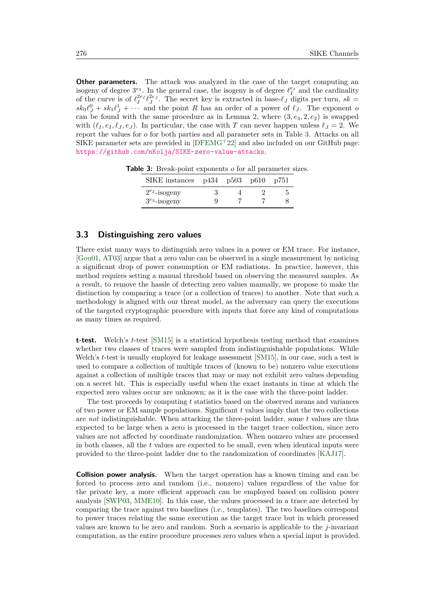**Other parameters.** The attack was analyzed in the case of the target computing an isogeny of degree  $3^{e_3}$ . In the general case, the isogeny is of degree  $\ell_I^{e_I}$  and the cardinality of the curve is of  $\ell_I^{2e_I} \ell_J^{2e_J}$ . The secret key is extracted in base- $\ell_J$  digits per turn,  $sk =$  $sk_0 \ell_J^0 + sk_1 \ell_J^1 + \cdots$  and the point *R* has an order of a power of  $\ell_J$ . The exponent *o* can be found with the same procedure as in Lemma [2,](#page-10-2) where  $(3, e_3, 2, e_2)$  is swapped with  $(\ell_1, e_I, \ell_1, e_J)$ . In particular, the case with *T* can never happen unless  $\ell_J = 2$ . We report the values for *o* for both parties and all parameter sets in Table [3.](#page-12-0) Attacks on all SIKE parameter sets are provided in  $[DFEMG^+22]$  $[DFEMG^+22]$  and also included on our GitHub page: <https://github.com/nKolja/SIKE-zero-value-attacks>.

| SIKE instances     | p434 p503 p610 |  | p751 |
|--------------------|----------------|--|------|
| $2^{e_2}$ -isogeny |                |  |      |
| $3^{e_3}$ -isogeny |                |  |      |

<span id="page-12-0"></span>**Table 3:** Break-point exponents *o* for all parameter sizes.

## <span id="page-12-1"></span>**3.3 Distinguishing zero values**

There exist many ways to distinguish zero values in a power or EM trace. For instance, [\[Gou01,](#page-22-9) [AT03\]](#page-20-6) argue that a zero value can be observed in a single measurement by noticing a significant drop of power consumption or EM radiations. In practice, however, this method requires setting a manual threshold based on observing the measured samples. As a result, to remove the hassle of detecting zero values manually, we propose to make the distinction by comparing a trace (or a collection of traces) to another. Note that such a methodology is aligned with our threat model, as the adversary can query the executions of the targeted cryptographic procedure with inputs that force any kind of computations as many times as required.

**t-test.** Welch's *t*-test [\[SM15\]](#page-24-9) is a statistical hypothesis testing method that examines whether two classes of traces were sampled from indistinguishable populations. While Welch's *t*-test is usually employed for leakage assessment [\[SM15\]](#page-24-9), in our case, such a test is used to compare a collection of multiple traces of (known to be) nonzero value executions against a collection of multiple traces that may or may not exhibit zero values depending on a secret bit. This is especially useful when the exact instants in time at which the expected zero values occur are unknown; as it is the case with the three-point ladder.

The test proceeds by computing *t* statistics based on the observed means and variances of two power or EM sample populations. Significant *t* values imply that the two collections are *not* indistinguishable. When attacking the three-point ladder, some *t* values are thus expected to be large when a zero is processed in the target trace collection, since zero values are not affected by coordinate randomization. When nonzero values are processed in both classes, all the *t* values are expected to be small, even when identical inputs were provided to the three-point ladder due to the randomization of coordinates [\[KAJ17\]](#page-23-7).

**Collision power analysis.** When the target operation has a known timing and can be forced to process zero and random (i.e., nonzero) values regardless of the value for the private key, a more efficient approach can be employed based on collision power analysis [\[SWP03,](#page-24-10) [MME10\]](#page-23-9). In this case, the values processed in a trace are detected by comparing the trace against two baselines (i.e., templates). The two baselines correspond to power traces relating the same execution as the target trace but in which processed values are known to be zero and random. Such a scenario is applicable to the *j*-invariant computation, as the entire procedure processes zero values when a special input is provided.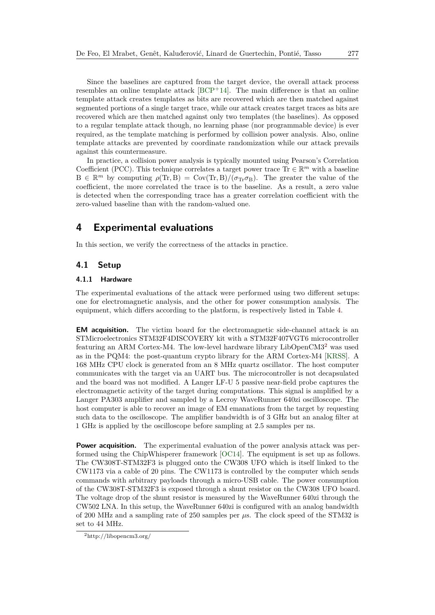Since the baselines are captured from the target device, the overall attack process resembles an online template attack [\[BCP](#page-20-10)<sup>+</sup>14]. The main difference is that an online template attack creates templates as bits are recovered which are then matched against segmented portions of a single target trace, while our attack creates target traces as bits are recovered which are then matched against only two templates (the baselines). As opposed to a regular template attack though, no learning phase (nor programmable device) is ever required, as the template matching is performed by collision power analysis. Also, online template attacks are prevented by coordinate randomization while our attack prevails against this countermeasure.

In practice, a collision power analysis is typically mounted using Pearson's Correlation Coefficient (PCC). This technique correlates a target power trace  $\text{Tr} \in \mathbb{R}^m$  with a baseline  $B \in \mathbb{R}^m$  by computing  $\rho(\text{Tr}, B) = \text{Cov}(\text{Tr}, B)/(\sigma_{\text{Tr}}\sigma_B)$ . The greater the value of the coefficient, the more correlated the trace is to the baseline. As a result, a zero value is detected when the corresponding trace has a greater correlation coefficient with the zero-valued baseline than with the random-valued one.

## <span id="page-13-0"></span>**4 Experimental evaluations**

In this section, we verify the correctness of the attacks in practice.

## **4.1 Setup**

### <span id="page-13-2"></span>**4.1.1 Hardware**

The experimental evaluations of the attack were performed using two different setups: one for electromagnetic analysis, and the other for power consumption analysis. The equipment, which differs according to the platform, is respectively listed in Table [4.](#page-14-0)

**EM acquisition.** The victim board for the electromagnetic side-channel attack is an STMicroelectronics STM32F4DISCOVERY kit with a STM32F407VGT6 microcontroller featuring an ARM Cortex-M4. The low-level hardware library LibOpenCM3[2](#page-13-1) was used as in the PQM4: the post-quantum crypto library for the ARM Cortex-M4 [\[KRSS\]](#page-23-10). A 168 MHz CPU clock is generated from an 8 MHz quartz oscillator. The host computer communicates with the target via an UART bus. The microcontroller is not decapsulated and the board was not modified. A Langer LF-U 5 passive near-field probe captures the electromagnetic activity of the target during computations. This signal is amplified by a Langer PA303 amplifier and sampled by a Lecroy WaveRunner 640zi oscilloscope. The host computer is able to recover an image of EM emanations from the target by requesting such data to the oscilloscope. The amplifier bandwidth is of 3 GHz but an analog filter at 1 GHz is applied by the oscilloscope before sampling at 2.5 samples per ns.

**Power acquisition.** The experimental evaluation of the power analysis attack was performed using the ChipWhisperer framework [\[OC14\]](#page-23-11). The equipment is set up as follows. The CW308T-STM32F3 is plugged onto the CW308 UFO which is itself linked to the CW1173 via a cable of 20 pins. The CW1173 is controlled by the computer which sends commands with arbitrary payloads through a micro-USB cable. The power consumption of the CW308T-STM32F3 is exposed through a shunt resistor on the CW308 UFO board. The voltage drop of the shunt resistor is measured by the WaveRunner 640zi through the CW502 LNA. In this setup, the WaveRunner 640zi is configured with an analog bandwidth of 200 MHz and a sampling rate of 250 samples per *µ*s. The clock speed of the STM32 is set to 44 MHz.

<span id="page-13-1"></span><sup>2</sup>http://libopencm3.org/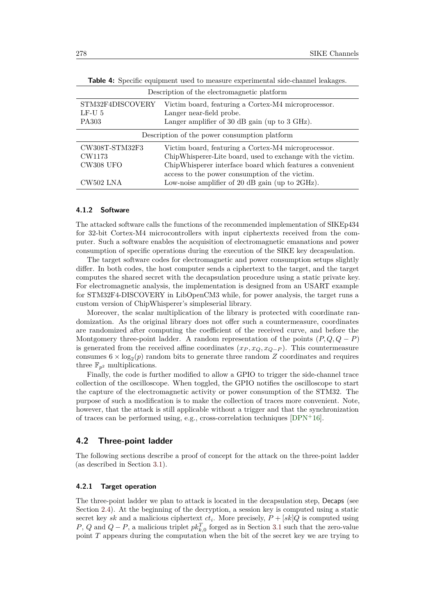| Description of the electromagnetic platform   |                                                             |  |
|-----------------------------------------------|-------------------------------------------------------------|--|
| STM32F4DISCOVERY                              | Victim board, featuring a Cortex-M4 microprocessor.         |  |
| $LF-U5$                                       | Langer near-field probe.                                    |  |
| PA303                                         | Langer amplifier of 30 dB gain (up to 3 GHz).               |  |
| Description of the power consumption platform |                                                             |  |
| CW308T-STM32F3                                | Victim board, featuring a Cortex-M4 microprocessor.         |  |
| CW1173                                        | ChipWhisperer-Lite board, used to exchange with the victim. |  |
| CW308 UFO                                     | ChipWhisperer interface board which features a convenient   |  |
|                                               | access to the power consumption of the victim.              |  |
| CW502 LNA                                     | Low-noise amplifier of 20 dB gain (up to $2\text{GHz}$ ).   |  |

<span id="page-14-0"></span>**Table 4:** Specific equipment used to measure experimental side-channel leakages.

## <span id="page-14-1"></span>**4.1.2 Software**

The attacked software calls the functions of the recommended implementation of SIKEp434 for 32-bit Cortex-M4 microcontrollers with input ciphertexts received from the computer. Such a software enables the acquisition of electromagnetic emanations and power consumption of specific operations during the execution of the SIKE key decapsulation.

The target software codes for electromagnetic and power consumption setups slightly differ. In both codes, the host computer sends a ciphertext to the target, and the target computes the shared secret with the decapsulation procedure using a static private key. For electromagnetic analysis, the implementation is designed from an USART example for STM32F4-DISCOVERY in LibOpenCM3 while, for power analysis, the target runs a custom version of ChipWhisperer's simpleserial library.

Moreover, the scalar multiplication of the library is protected with coordinate randomization. As the original library does not offer such a countermeasure, coordinates are randomized after computing the coefficient of the received curve, and before the Montgomery three-point ladder. A random representation of the points  $(P, Q, Q - P)$ is generated from the received affine coordinates  $(x_P, x_Q, x_{Q-P})$ . This countermeasure consumes  $6 \times \log_2(p)$  random bits to generate three random *Z* coordinates and requires three  $\mathbb{F}_{p^2}$  multiplications.

Finally, the code is further modified to allow a GPIO to trigger the side-channel trace collection of the oscilloscope. When toggled, the GPIO notifies the oscilloscope to start the capture of the electromagnetic activity or power consumption of the STM32. The purpose of such a modification is to make the collection of traces more convenient. Note, however, that the attack is still applicable without a trigger and that the synchronization of traces can be performed using, e.g., cross-correlation techniques  $[DPN+16]$  $[DPN+16]$ .

## **4.2 Three-point ladder**

The following sections describe a proof of concept for the attack on the three-point ladder (as described in Section [3.1\)](#page-6-3).

### **4.2.1 Target operation**

The three-point ladder we plan to attack is located in the decapsulation step, Decaps (see Section [2.4\)](#page-5-2). At the beginning of the decryption, a session key is computed using a static secret key *sk* and a malicious ciphertext  $ct_i$ . More precisely,  $P + [sk]Q$  is computed using *P*, *Q* and  $Q - P$ , a malicious triplet  $pk_{k,0}^T$  forged as in Section [3.1](#page-6-3) such that the zero-value point *T* appears during the computation when the bit of the secret key we are trying to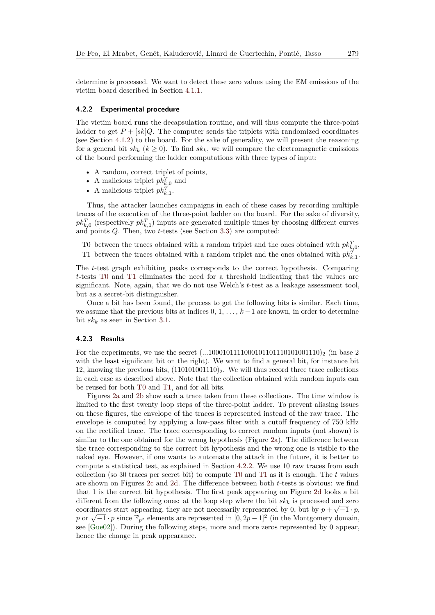determine is processed. We want to detect these zero values using the EM emissions of the victim board described in Section [4.1.1.](#page-13-2)

#### <span id="page-15-2"></span>**4.2.2 Experimental procedure**

The victim board runs the decapsulation routine, and will thus compute the three-point ladder to get  $P + [sk]Q$ . The computer sends the triplets with randomized coordinates (see Section [4.1.2\)](#page-14-1) to the board. For the sake of generality, we will present the reasoning for a general bit  $sk_k$  ( $k \geq 0$ ). To find  $sk_k$ , we will compare the electromagnetic emissions of the board performing the ladder computations with three types of input:

- A random, correct triplet of points,
- A malicious triplet  $pk_{k,0}^T$  and
- A malicious triplet  $pk_{k,1}^T$ .

Thus, the attacker launches campaigns in each of these cases by recording multiple traces of the execution of the three-point ladder on the board. For the sake of diversity,  $pk_{k,0}^T$  (respectively  $pk_{k,1}^T$ ) inputs are generated multiple times by choosing different curves and points *Q*. Then, two *t*-tests (see Section [3.3\)](#page-12-1) are computed:

- <span id="page-15-0"></span>T0 between the traces obtained with a random triplet and the ones obtained with  $pk_{k,0}^T$ ,
- <span id="page-15-1"></span>T1 between the traces obtained with a random triplet and the ones obtained with  $pk_{k,1}^T$ .

The *t*-test graph exhibiting peaks corresponds to the correct hypothesis. Comparing *t*-tests [T0](#page-15-0) and [T1](#page-15-1) eliminates the need for a threshold indicating that the values are significant. Note, again, that we do not use Welch's *t*-test as a leakage assessment tool, but as a secret-bit distinguisher.

Once a bit has been found, the process to get the following bits is similar. Each time, we assume that the previous bits at indices  $0, 1, \ldots, k-1$  are known, in order to determine bit  $sk_k$  as seen in Section [3.1.](#page-6-3)

## **4.2.3 Results**

For the experiments, we use the secret  $(...1000101111000101101101001110)_2$  (in base 2) with the least significant bit on the right). We want to find a general bit, for instance bit 12, knowing the previous bits,  $(110101001110)_2$ . We will thus record three trace collections in each case as described above. Note that the collection obtained with random inputs can be reused for both [T0](#page-15-0) and [T1,](#page-15-1) and for all bits.

Figures [2a](#page-16-0) and [2b](#page-16-1) show each a trace taken from these collections. The time window is limited to the first twenty loop steps of the three-point ladder. To prevent aliasing issues on these figures, the envelope of the traces is represented instead of the raw trace. The envelope is computed by applying a low-pass filter with a cutoff frequency of 750 kHz on the rectified trace. The trace corresponding to correct random inputs (not shown) is similar to the one obtained for the wrong hypothesis (Figure [2a\)](#page-16-0). The difference between the trace corresponding to the correct bit hypothesis and the wrong one is visible to the naked eye. However, if one wants to automate the attack in the future, it is better to compute a statistical test, as explained in Section [4.2.2.](#page-15-2) We use 10 raw traces from each collection (so 30 traces per secret bit) to compute [T0](#page-15-0) and [T1](#page-15-1) as it is enough. The *t* values are shown on Figures [2c](#page-16-2) and [2d.](#page-16-3) The difference between both *t*-tests is obvious: we find that 1 is the correct bit hypothesis. The first peak appearing on Figure [2d](#page-16-3) looks a bit different from the following ones: at the loop step where the bit  $sk_k$  is processed and zero coordinates start appearing, they are not necessarily represented by 0, but by  $p + \sqrt{-1} \cdot p$ , coordinates start appearing, they are not necessarily represented by 0, but by  $p + \sqrt{-1} \cdot p$ ,  $p$  or  $\sqrt{-1} \cdot p$  since  $\mathbb{F}_{p^2}$  elements are represented in  $[0, 2p - 1]^2$  (in the Montgomery domain, see [\[Gue02\]](#page-22-10)). During the following steps, more and more zeros represented by 0 appear, hence the change in peak appearance.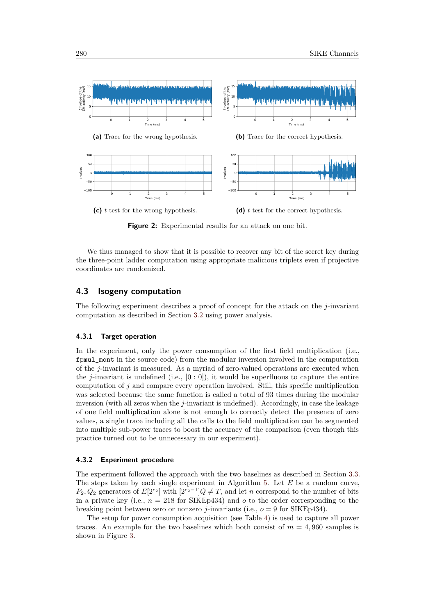<span id="page-16-0"></span>

<span id="page-16-3"></span><span id="page-16-2"></span><span id="page-16-1"></span>**Figure 2:** Experimental results for an attack on one bit.

We thus managed to show that it is possible to recover any bit of the secret key during the three-point ladder computation using appropriate malicious triplets even if projective coordinates are randomized.

## **4.3 Isogeny computation**

The following experiment describes a proof of concept for the attack on the *j*-invariant computation as described in Section [3.2](#page-7-2) using power analysis.

#### **4.3.1 Target operation**

In the experiment, only the power consumption of the first field multiplication (i.e., fpmul\_mont in the source code) from the modular inversion involved in the computation of the *j*-invariant is measured. As a myriad of zero-valued operations are executed when the *j*-invariant is undefined (i.e.,  $[0:0]$ ), it would be superfluous to capture the entire computation of *j* and compare every operation involved. Still, this specific multiplication was selected because the same function is called a total of 93 times during the modular inversion (with all zeros when the *j*-invariant is undefined). Accordingly, in case the leakage of one field multiplication alone is not enough to correctly detect the presence of zero values, a single trace including all the calls to the field multiplication can be segmented into multiple sub-power traces to boost the accuracy of the comparison (even though this practice turned out to be unnecessary in our experiment).

#### **4.3.2 Experiment procedure**

The experiment followed the approach with the two baselines as described in Section [3.3.](#page-12-1) The steps taken by each single experiment in Algorithm [5.](#page-17-1) Let *E* be a random curve, *P*<sub>2</sub>*, Q*<sub>2</sub> generators of *E*[ $2^{e_2}$ ] with [ $2^{e_2-1}$ ]*Q*  $\neq$  *T,* and let *n* correspond to the number of bits in a private key (i.e.,  $n = 218$  for SIKEp434) and  $o$  to the order corresponding to the breaking point between zero or nonzero *j*-invariants (i.e., *o* = 9 for SIKEp434).

The setup for power consumption acquisition (see Table [4\)](#page-14-0) is used to capture all power traces. An example for the two baselines which both consist of  $m = 4,960$  samples is shown in Figure [3.](#page-17-2)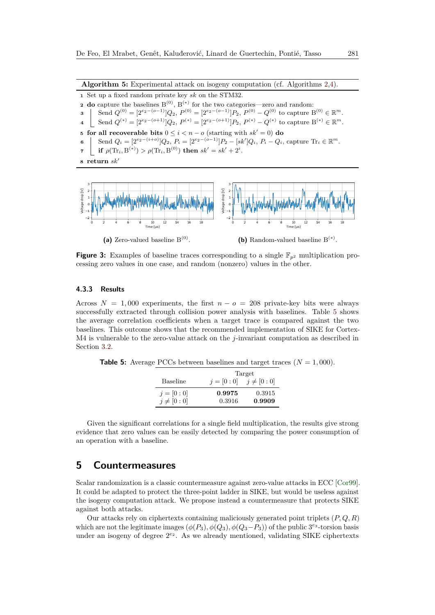**Algorithm 5:** Experimental attack on isogeny computation (cf. Algorithms [2,](#page-8-0)[4\)](#page-11-1).

**<sup>1</sup>** Set up a fixed random private key *sk* on the STM32. **2 do** capture the baselines  $B^{(0)}$ ,  $B^{(*)}$  for the two categories—zero and random: **3** Send  $Q^{(0)} = [2^{e_2 - (o-1)}]Q_2$ ,  $P^{(0)} = [2^{e_2 - (o-1)}]P_2$ ,  $P^{(0)} - Q^{(0)}$  to capture  $B^{(0)} \in \mathbb{R}^m$ .  $\mathcal{A} \quad \Big| \quad \text{Send } Q^{(*)} = [2^{e_2 - (o+1)}]Q_2, P^{(*)} = [2^{e_2 - (o+1)}]P_2, P^{(*)} - Q^{(*)} \text{ to capture } B^{(*)} \in \mathbb{R}^m.$ **5 for all recoverable bits**  $0 \le i < n - o$  (starting with  $sk' = 0$ ) **do** 6 Send  $Q_i = [2^{e_2 - (i+\sigma)}]Q_2$ ,  $P_i = [2^{e_2 - (\sigma-1)}]P_2 - [sk']Q_i$ ,  $P_i - Q_i$ , capture  $\text{Tr}_i \in \mathbb{R}^m$ .  $\mathbf{p} = \begin{cases} \mathbf{p} \in \text{Tr}_{i}(\mathbf{R}^{(k)}) > \rho(\text{Tr}_{i}, \mathbf{B}^{(0)}) \end{cases}$  then  $sk' = sk' + 2^{i}$ .  $\bf{s}$  **return**  $sk'$ 

<span id="page-17-2"></span><span id="page-17-1"></span>

**Figure 3:** Examples of baseline traces corresponding to a single  $\mathbb{F}_{n^2}$  multiplication processing zero values in one case, and random (nonzero) values in the other.

### **4.3.3 Results**

Across  $N = 1,000$  experiments, the first  $n - o = 208$  private-key bits were always successfully extracted through collision power analysis with baselines. Table [5](#page-17-3) shows the average correlation coefficients when a target trace is compared against the two baselines. This outcome shows that the recommended implementation of SIKE for Cortex-M4 is vulnerable to the zero-value attack on the *j*-invariant computation as described in Section [3.2.](#page-7-2)

<span id="page-17-3"></span>**Table 5:** Average PCCs between baselines and target traces  $(N = 1,000)$ .

|               |             | Target         |
|---------------|-------------|----------------|
| Baseline      | $i = [0:0]$ | $j \neq [0:0]$ |
| $i = [0:0]$   | 0.9975      | 0.3915         |
| $j\neq [0:0]$ | 0.3916      | 0.9909         |

Given the significant correlations for a single field multiplication, the results give strong evidence that zero values can be easily detected by comparing the power consumption of an operation with a baseline.

## <span id="page-17-0"></span>**5 Countermeasures**

Scalar randomization is a classic countermeasure against zero-value attacks in ECC [\[Cor99\]](#page-21-4). It could be adapted to protect the three-point ladder in SIKE, but would be useless against the isogeny computation attack. We propose instead a countermeasure that protects SIKE against both attacks.

Our attacks rely on ciphertexts containing maliciously generated point triplets (*P, Q, R*) which are not the legitimate images  $(\phi(P_3), \phi(Q_3), \phi(Q_3 - P_3))$  of the public 3<sup>e<sub>3</sub></sup>-torsion basis under an isogeny of degree  $2^{e_2}$ . As we already mentioned, validating SIKE ciphertexts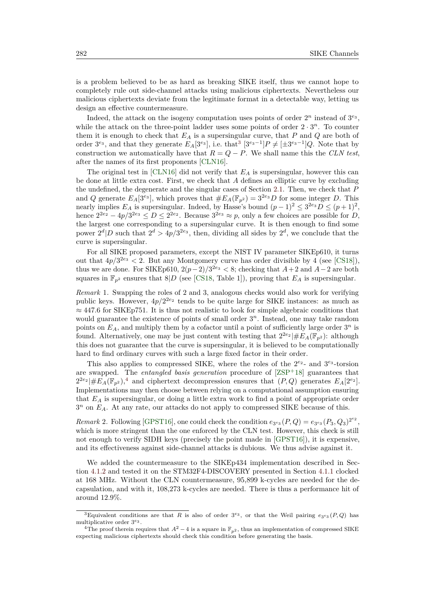is a problem believed to be as hard as breaking SIKE itself, thus we cannot hope to completely rule out side-channel attacks using malicious ciphertexts. Nevertheless our malicious ciphertexts deviate from the legitimate format in a detectable way, letting us design an effective countermeasure.

Indeed, the attack on the isogeny computation uses points of order  $2^n$  instead of  $3^{e_3}$ , while the attack on the three-point ladder uses some points of order  $2 \cdot 3^n$ . To counter them it is enough to check that *E<sup>A</sup>* is a supersingular curve, that *P* and *Q* are both of order  $3^{e_3}$  $3^{e_3}$ , and that they generate  $E_A[3^{e_3}]$ , i.e. that<sup>3</sup>  $[3^{e_3-1}]P \neq [\pm 3^{e_3-1}]Q$ . Note that by construction we automatically have that  $R = Q - P$ . We shall name this the *CLN test*, after the names of its first proponents [\[CLN16\]](#page-20-9).

The original test in [\[CLN16\]](#page-20-9) did not verify that *E<sup>A</sup>* is supersingular, however this can be done at little extra cost. First, we check that *A* defines an elliptic curve by excluding the undefined, the degenerate and the singular cases of Section [2.1.](#page-3-2) Then, we check that *P* and *Q* generate  $E_A[3^{e_3}]$ , which proves that  $#E_A(\mathbb{F}_{p^2}) = 3^{2e_3}D$  for some integer *D*. This nearly implies  $E_A$  is supersingular. Indeed, by Hasse's bound  $(p-1)^2 \leq 3^{2e_3} D \leq (p+1)^2$ , hence  $2^{2e_2} - 4p/3^{2e_3} \le D \le 2^{2e_2}$ . Because  $3^{2e_3} \approx p$ , only a few choices are possible for *D*, the largest one corresponding to a supersingular curve. It is then enough to find some power  $2^d|D$  such that  $2^d > 4p/3^{2e_3}$ , then, dividing all sides by  $2^d$ , we conclude that the curve is supersingular.

For all SIKE proposed parameters, except the NIST IV parameter SIKEp610, it turns out that  $4p/3^{2e_3} < 2$ . But any Montgomery curve has order divisible by 4 (see [\[CS18\]](#page-21-12)), thus we are done. For SIKEp610,  $2(p-2)/3^{2e_3} < 8$ ; checking that  $A+2$  and  $A-2$  are both squares in  $\mathbb{F}_{p^2}$  ensures that  $8|D$  (see [\[CS18,](#page-21-12) Table 1]), proving that  $E_A$  is supersingular.

*Remark* 1*.* Swapping the roles of 2 and 3, analogous checks would also work for verifying public keys. However,  $4p/2^{2e_2}$  tends to be quite large for SIKE instances: as much as  $\approx$  447.6 for SIKEp751. It is thus not realistic to look for simple algebraic conditions that would guarantee the existence of points of small order  $3<sup>n</sup>$ . Instead, one may take random points on  $E_A$ , and multiply them by a cofactor until a point of sufficiently large order  $3^n$  is found. Alternatively, one may be just content with testing that  $2^{2e_2} \vert \#E_A(\mathbb{F}_{p^2})$ : although this does not guarantee that the curve is supersingular, it is believed to be computationally hard to find ordinary curves with such a large fixed factor in their order.

This also applies to compressed SIKE, where the roles of the  $2^{e_2}$ - and  $3^{e_3}$ -torsion are swapped. The *entangled basis generation* procedure of [\[ZSP](#page-25-6)<sup>+</sup>18] guarantees that  $2^{2e_2}$   $\#E_A(\mathbb{F}_{p^2})$ , and ciphertext decompression ensures that  $(P,Q)$  generates  $E_A[2^{e_2}]$ . Implementations may then choose between relying on a computational assumption ensuring that *E<sup>A</sup>* is supersingular, or doing a little extra work to find a point of appropriate order 3 *<sup>n</sup>* on *EA*. At any rate, our attacks do not apply to compressed SIKE because of this.

*Remark* 2. Following [\[GPST16\]](#page-22-6), one could check the condition  $e_{3^{e_3}}(P,Q) = e_{3^{e_3}}(P_3,Q_3)^{2^{e_2}}$ , which is more stringent than the one enforced by the CLN test. However, this check is still not enough to verify SIDH keys (precisely the point made in [\[GPST16\]](#page-22-6)), it is expensive, and its effectiveness against side-channel attacks is dubious. We thus advise against it.

We added the countermeasure to the SIKEp434 implementation described in Section [4.1.2](#page-14-1) and tested it on the STM32F4-DISCOVERY presented in Section [4.1.1](#page-13-2) clocked at 168 MHz. Without the CLN countermeasure, 95,899 k-cycles are needed for the decapsulation, and with it, 108,273 k-cycles are needed. There is thus a performance hit of around 12.9%.

<span id="page-18-0"></span><sup>&</sup>lt;sup>3</sup>Equivalent conditions are that *R* is also of order 3<sup>e<sub>3</sub></sub>, or that the Weil pairing  $e_{3}e_{3}(P,Q)$  has</sup> multiplicative order 3 *<sup>e</sup>*<sup>3</sup> .

<span id="page-18-1"></span><sup>&</sup>lt;sup>4</sup>The proof therein requires that  $A^2 - 4$  is a square in  $\mathbb{F}_{p^2}$ , thus an implementation of compressed SIKE expecting malicious ciphertexts should check this condition before generating the basis.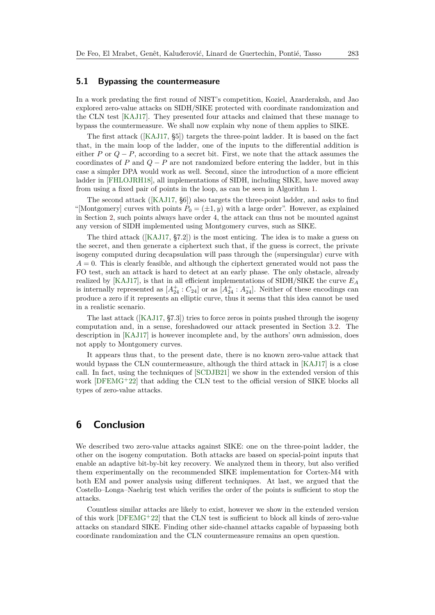#### **5.1 Bypassing the countermeasure**

In a work predating the first round of NIST's competition, Koziel, Azarderaksh, and Jao explored zero-value attacks on SIDH/SIKE protected with coordinate randomization and the CLN test [\[KAJ17\]](#page-23-7). They presented four attacks and claimed that these manage to bypass the countermeasure. We shall now explain why none of them applies to SIKE.

The first attack ([\[KAJ17,](#page-23-7) §5]) targets the three-point ladder. It is based on the fact that, in the main loop of the ladder, one of the inputs to the differential addition is either *P* or *Q* − *P*, according to a secret bit. First, we note that the attack assumes the coordinates of *P* and  $Q - P$  are not randomized before entering the ladder, but in this case a simpler DPA would work as well. Second, since the introduction of a more efficient ladder in [\[FHLOJRH18\]](#page-21-9), all implementations of SIDH, including SIKE, have moved away from using a fixed pair of points in the loop, as can be seen in Algorithm [1.](#page-4-0)

The second attack ([\[KAJ17,](#page-23-7) §6]) also targets the three-point ladder, and asks to find "[Montgomery] curves with points  $P_0 = (\pm 1, y)$  with a large order". However, as explained in Section [2,](#page-3-0) such points always have order 4, the attack can thus not be mounted against any version of SIDH implemented using Montgomery curves, such as SIKE.

The third attack ([\[KAJ17,](#page-23-7) §7.2]) is the most enticing. The idea is to make a guess on the secret, and then generate a ciphertext such that, if the guess is correct, the private isogeny computed during decapsulation will pass through the (supersingular) curve with  $A = 0$ . This is clearly feasible, and although the ciphertext generated would not pass the FO test, such an attack is hard to detect at an early phase. The only obstacle, already realized by [\[KAJ17\]](#page-23-7), is that in all efficient implementations of SIDH/SIKE the curve *E<sup>A</sup>* is internally represented as  $[A_2^{\dagger}: C_{24}]$  or as  $[A_2^{\dagger}: A_{24}^{-}]$ . Neither of these encodings can produce a zero if it represents an elliptic curve, thus it seems that this idea cannot be used in a realistic scenario.

The last attack ([\[KAJ17,](#page-23-7) §7.3]) tries to force zeros in points pushed through the isogeny computation and, in a sense, foreshadowed our attack presented in Section [3.2.](#page-7-2) The description in [\[KAJ17\]](#page-23-7) is however incomplete and, by the authors' own admission, does not apply to Montgomery curves.

It appears thus that, to the present date, there is no known zero-value attack that would bypass the CLN countermeasure, although the third attack in [\[KAJ17\]](#page-23-7) is a close call. In fact, using the techniques of [\[SCDJB21\]](#page-24-3) we show in the extended version of this work [\[DFEMG](#page-21-6)<sup>+</sup>22] that adding the CLN test to the official version of SIKE blocks all types of zero-value attacks.

## <span id="page-19-0"></span>**6 Conclusion**

We described two zero-value attacks against SIKE: one on the three-point ladder, the other on the isogeny computation. Both attacks are based on special-point inputs that enable an adaptive bit-by-bit key recovery. We analyzed them in theory, but also verified them experimentally on the recommended SIKE implementation for Cortex-M4 with both EM and power analysis using different techniques. At last, we argued that the Costello–Longa–Naehrig test which verifies the order of the points is sufficient to stop the attacks.

Countless similar attacks are likely to exist, however we show in the extended version of this work [\[DFEMG](#page-21-6)<sup>+</sup>22] that the CLN test is sufficient to block all kinds of zero-value attacks on standard SIKE. Finding other side-channel attacks capable of bypassing both coordinate randomization and the CLN countermeasure remains an open question.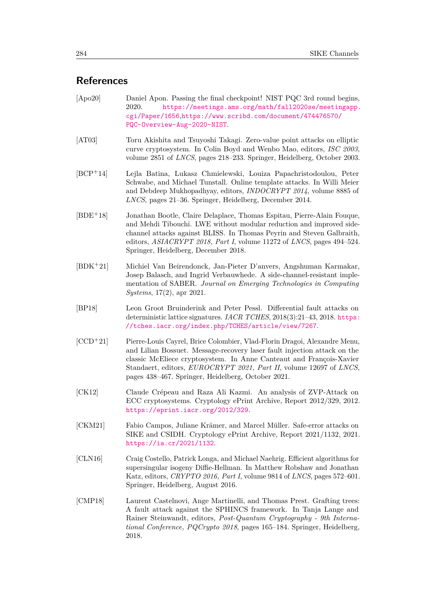## **References**

- <span id="page-20-0"></span>[Apo20] Daniel Apon. Passing the final checkpoint! NIST PQC 3rd round begins, 2020. [https://meetings.ams.org/math/fall2020se/meetingapp.](https://meetings.ams.org/math/fall2020se/meetingapp.cgi/Paper/1656) [cgi/Paper/1656](https://meetings.ams.org/math/fall2020se/meetingapp.cgi/Paper/1656),[https://www.scribd.com/document/474476570/](https://www.scribd.com/document/474476570/PQC-Overview-Aug-2020-NIST) [PQC-Overview-Aug-2020-NIST](https://www.scribd.com/document/474476570/PQC-Overview-Aug-2020-NIST).
- <span id="page-20-6"></span>[AT03] Toru Akishita and Tsuyoshi Takagi. Zero-value point attacks on elliptic curve cryptosystem. In Colin Boyd and Wenbo Mao, editors, *ISC 2003*, volume 2851 of *LNCS*, pages 218–233. Springer, Heidelberg, October 2003.
- <span id="page-20-10"></span>[BCP<sup>+</sup>14] Lejla Batina, Lukasz Chmielewski, Louiza Papachristodoulou, Peter Schwabe, and Michael Tunstall. Online template attacks. In Willi Meier and Debdeep Mukhopadhyay, editors, *INDOCRYPT 2014*, volume 8885 of *LNCS*, pages 21–36. Springer, Heidelberg, December 2014.
- <span id="page-20-3"></span>[BDE<sup>+</sup>18] Jonathan Bootle, Claire Delaplace, Thomas Espitau, Pierre-Alain Fouque, and Mehdi Tibouchi. LWE without modular reduction and improved sidechannel attacks against BLISS. In Thomas Peyrin and Steven Galbraith, editors, *ASIACRYPT 2018, Part I*, volume 11272 of *LNCS*, pages 494–524. Springer, Heidelberg, December 2018.
- <span id="page-20-5"></span>[BDK<sup>+</sup>21] Michiel Van Beirendonck, Jan-Pieter D'anvers, Angshuman Karmakar, Josep Balasch, and Ingrid Verbauwhede. A side-channel-resistant implementation of SABER. *Journal on Emerging Technologies in Computing Systems*, 17(2), apr 2021.
- <span id="page-20-2"></span>[BP18] Leon Groot Bruinderink and Peter Pessl. Differential fault attacks on deterministic lattice signatures. *IACR TCHES*, 2018(3):21–43, 2018. [https:](https://tches.iacr.org/index.php/TCHES/article/view/7267) [//tches.iacr.org/index.php/TCHES/article/view/7267](https://tches.iacr.org/index.php/TCHES/article/view/7267).
- <span id="page-20-4"></span>[CCD<sup>+</sup>21] Pierre-Louis Cayrel, Brice Colombier, Vlad-Florin Dragoi, Alexandre Menu, and Lilian Bossuet. Message-recovery laser fault injection attack on the classic McEliece cryptosystem. In Anne Canteaut and François-Xavier Standaert, editors, *EUROCRYPT 2021, Part II*, volume 12697 of *LNCS*, pages 438–467. Springer, Heidelberg, October 2021.
- <span id="page-20-8"></span>[CK12] Claude Crépeau and Raza Ali Kazmi. An analysis of ZVP-Attack on ECC cryptosystems. Cryptology ePrint Archive, Report 2012/329, 2012. <https://eprint.iacr.org/2012/329>.
- <span id="page-20-7"></span>[CKM21] Fabio Campos, Juliane Krämer, and Marcel Müller. Safe-error attacks on SIKE and CSIDH. Cryptology ePrint Archive, Report 2021/1132, 2021. <https://ia.cr/2021/1132>.
- <span id="page-20-9"></span>[CLN16] Craig Costello, Patrick Longa, and Michael Naehrig. Efficient algorithms for supersingular isogeny Diffie-Hellman. In Matthew Robshaw and Jonathan Katz, editors, *CRYPTO 2016, Part I*, volume 9814 of *LNCS*, pages 572–601. Springer, Heidelberg, August 2016.
- <span id="page-20-1"></span>[CMP18] Laurent Castelnovi, Ange Martinelli, and Thomas Prest. Grafting trees: A fault attack against the SPHINCS framework. In Tanja Lange and Rainer Steinwandt, editors, *Post-Quantum Cryptography - 9th International Conference, PQCrypto 2018*, pages 165–184. Springer, Heidelberg, 2018.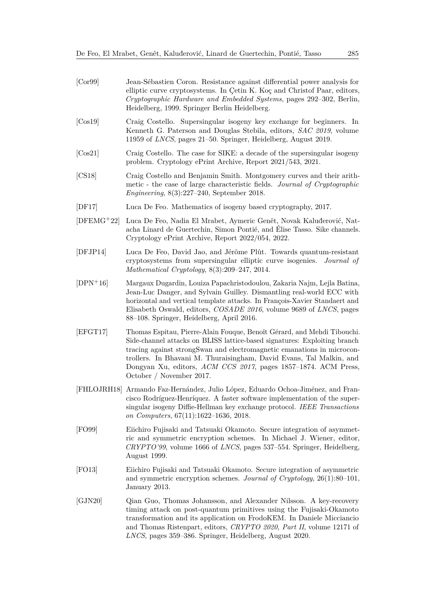<span id="page-21-12"></span><span id="page-21-11"></span><span id="page-21-10"></span><span id="page-21-8"></span><span id="page-21-7"></span><span id="page-21-6"></span><span id="page-21-5"></span><span id="page-21-4"></span>

| [Cor99]      | Jean-Sébastien Coron. Resistance against differential power analysis for<br>elliptic curve cryptosystems. In Cetin K. Koç and Christof Paar, editors,<br>Cryptographic Hardware and Embedded Systems, pages 292–302, Berlin,<br>Heidelberg, 1999. Springer Berlin Heidelberg.                                                                                                                       |
|--------------|-----------------------------------------------------------------------------------------------------------------------------------------------------------------------------------------------------------------------------------------------------------------------------------------------------------------------------------------------------------------------------------------------------|
| [Cos19]      | Craig Costello. Supersingular isogeny key exchange for beginners. In<br>Kenneth G. Paterson and Douglas Stebila, editors, SAC 2019, volume<br>11959 of <i>LNCS</i> , pages 21–50. Springer, Heidelberg, August 2019.                                                                                                                                                                                |
| [Cos21]      | Craig Costello. The case for SIKE: a decade of the supersingular isogeny<br>problem. Cryptology ePrint Archive, Report 2021/543, 2021.                                                                                                                                                                                                                                                              |
| [CS18]       | Craig Costello and Benjamin Smith. Montgomery curves and their arith-<br>metic - the case of large characteristic fields. Journal of Cryptographic<br><i>Engineering</i> , $8(3):227-240$ , September 2018.                                                                                                                                                                                         |
| [DF17]       | Luca De Feo. Mathematics of isogeny based cryptography, 2017.                                                                                                                                                                                                                                                                                                                                       |
| $[DFEMG+22]$ | Luca De Feo, Nadia El Mrabet, Aymeric Genêt, Novak Kaluđerović, Nat-<br>acha Linard de Guertechin, Simon Pontié, and Elise Tasso. Sike channels.<br>Cryptology ePrint Archive, Report 2022/054, 2022.                                                                                                                                                                                               |
| [DFJP14]     | Luca De Feo, David Jao, and Jérôme Plût. Towards quantum-resistant<br>cryptosystems from supersingular elliptic curve isogenies.<br>Journal of<br>Mathematical Cryptology, $8(3):209-247$ , 2014.                                                                                                                                                                                                   |
| $[DPN+16]$   | Margaux Dugardin, Louiza Papachristodoulou, Zakaria Najm, Lejla Batina,<br>Jean-Luc Danger, and Sylvain Guilley. Dismantling real-world ECC with<br>horizontal and vertical template attacks. In François-Xavier Standaert and<br>Elisabeth Oswald, editors, <i>COSADE 2016</i> , volume 9689 of <i>LNCS</i> , pages<br>88–108. Springer, Heidelberg, April 2016.                                   |
| [EFGT17]     | Thomas Espitau, Pierre-Alain Fouque, Benoît Gérard, and Mehdi Tibouchi.<br>Side-channel attacks on BLISS lattice-based signatures: Exploiting branch<br>tracing against strongSwan and electromagnetic emanations in microcon-<br>trollers. In Bhavani M. Thuraisingham, David Evans, Tal Malkin, and<br>Dongyan Xu, editors, ACM CCS 2017, pages 1857-1874. ACM Press,<br>October / November 2017. |
|              | [FHLOJRH18] Armando Faz-Hernández, Julio López, Eduardo Ochoa-Jiménez, and Fran-<br>cisco Rodríguez-Henríquez. A faster software implementation of the super-<br>singular isogeny Diffie-Hellman key exchange protocol. IEEE Transactions<br>on Computers, 67(11):1622-1636, 2018.                                                                                                                  |
| [FO99]       | Eiichiro Fujisaki and Tatsuaki Okamoto. Secure integration of asymmet-<br>ric and symmetric encryption schemes. In Michael J. Wiener, editor,<br>$CRYPTO'99$ , volume 1666 of <i>LNCS</i> , pages 537–554. Springer, Heidelberg,<br>August 1999.                                                                                                                                                    |
| [FO13]       | Eiichiro Fujisaki and Tatsuaki Okamoto. Secure integration of asymmetric<br>and symmetric encryption schemes. Journal of Cryptology, $26(1):80-101$ ,                                                                                                                                                                                                                                               |

<span id="page-21-9"></span><span id="page-21-3"></span><span id="page-21-2"></span><span id="page-21-1"></span><span id="page-21-0"></span>January 2013. [GJN20] Qian Guo, Thomas Johansson, and Alexander Nilsson. A key-recovery timing attack on post-quantum primitives using the Fujisaki-Okamoto transformation and its application on FrodoKEM. In Daniele Micciancio and Thomas Ristenpart, editors, *CRYPTO 2020, Part II*, volume 12171 of *LNCS*, pages 359–386. Springer, Heidelberg, August 2020.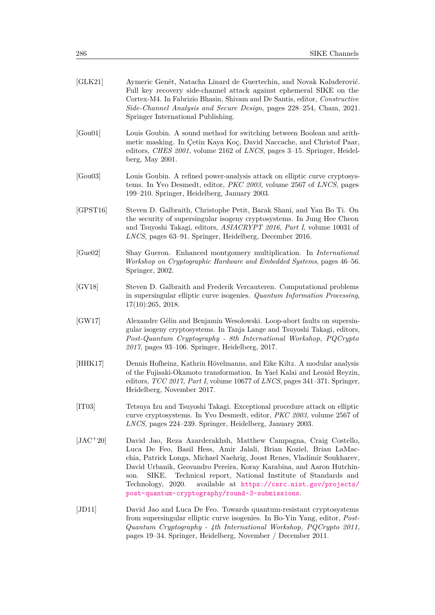<span id="page-22-10"></span><span id="page-22-9"></span><span id="page-22-8"></span><span id="page-22-7"></span><span id="page-22-6"></span><span id="page-22-5"></span><span id="page-22-4"></span><span id="page-22-3"></span><span id="page-22-2"></span><span id="page-22-1"></span><span id="page-22-0"></span>

| [GLK21]    | Aymeric Genêt, Natacha Linard de Guertechin, and Novak Kaluđerović.<br>Full key recovery side-channel attack against ephemeral SIKE on the<br>Cortex-M4. In Fabrizio Bhasin, Shivam and De Santis, editor, Constructive<br>Side-Channel Analysis and Secure Design, pages 228–254, Cham, 2021.<br>Springer International Publishing.                                                                                                                                                   |
|------------|----------------------------------------------------------------------------------------------------------------------------------------------------------------------------------------------------------------------------------------------------------------------------------------------------------------------------------------------------------------------------------------------------------------------------------------------------------------------------------------|
| [Gou01]    | Louis Goubin. A sound method for switching between Boolean and arith-<br>metic masking. In Çetin Kaya Koç, David Naccache, and Christof Paar,<br>editors, CHES 2001, volume 2162 of LNCS, pages 3-15. Springer, Heidel-<br>berg, May $2001$ .                                                                                                                                                                                                                                          |
| [Gou03]    | Louis Goubin. A refined power-analysis attack on elliptic curve cryptosys-<br>tems. In Yvo Desmedt, editor, <i>PKC 2003</i> , volume 2567 of <i>LNCS</i> , pages<br>199–210. Springer, Heidelberg, January 2003.                                                                                                                                                                                                                                                                       |
| [GPST16]   | Steven D. Galbraith, Christophe Petit, Barak Shani, and Yan Bo Ti. On<br>the security of supersingular isogeny cryptosystems. In Jung Hee Cheon<br>and Tsuyoshi Takagi, editors, ASIACRYPT 2016, Part I, volume 10031 of<br>LNCS, pages 63-91. Springer, Heidelberg, December 2016.                                                                                                                                                                                                    |
| [Gue02]    | Shay Gueron. Enhanced montgomery multiplication. In <i>International</i><br>Workshop on Cryptographic Hardware and Embedded Systems, pages 46-56.<br>Springer, 2002.                                                                                                                                                                                                                                                                                                                   |
| [GV18]     | Steven D. Galbraith and Frederik Vercauteren. Computational problems<br>in supersingular elliptic curve isogenies. Quantum Information Processing,<br>17(10):265, 2018.                                                                                                                                                                                                                                                                                                                |
| [GW17]     | Alexandre Gélin and Benjamin Wesolowski. Loop-abort faults on supersin-<br>gular isogeny cryptosystems. In Tanja Lange and Tsuyoshi Takagi, editors,<br>Post-Quantum Cryptography - 8th International Workshop, PQCrypto<br>$2017$ , pages 93–106. Springer, Heidelberg, 2017.                                                                                                                                                                                                         |
| [HHK17]    | Dennis Hofheinz, Kathrin Hövelmanns, and Eike Kiltz. A modular analysis<br>of the Fujisaki-Okamoto transformation. In Yael Kalai and Leonid Reyzin,<br>editors, $TCC$ 2017, Part I, volume 10677 of LNCS, pages 341-371. Springer,<br>Heidelberg, November 2017.                                                                                                                                                                                                                       |
| [TT03]     | Tetsuya Izu and Tsuyoshi Takagi. Exceptional procedure attack on elliptic<br>curve cryptosystems. In Yvo Desmedt, editor, <i>PKC 2003</i> , volume 2567 of<br>LNCS, pages 224–239. Springer, Heidelberg, January 2003.                                                                                                                                                                                                                                                                 |
| $[JAC+20]$ | David Jao, Reza Azarderakhsh, Matthew Campagna, Craig Costello,<br>Luca De Feo, Basil Hess, Amir Jalali, Brian Koziel, Brian LaMac-<br>chia, Patrick Longa, Michael Naehrig, Joost Renes, Vladimir Soukharev,<br>David Urbanik, Geovandro Pereira, Koray Karabina, and Aaron Hutchin-<br>Technical report, National Institute of Standards and<br>SIKE.<br>son.<br>Technology, 2020.<br>available at https://csrc.nist.gov/projects/<br>post-quantum-cryptography/round-3-submissions. |
| [JD11]     | David Jao and Luca De Feo. Towards quantum-resistant cryptosystems<br>from supersingular elliptic curve isogenies. In Bo-Yin Yang, editor, Post-<br>Quantum Cryptography - 4th International Workshop, PQCrypto 2011,<br>pages 19–34. Springer, Heidelberg, November / December 2011.                                                                                                                                                                                                  |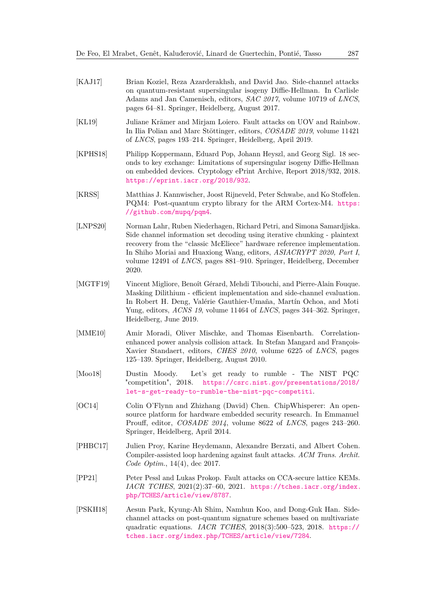- <span id="page-23-7"></span>[KAJ17] Brian Koziel, Reza Azarderakhsh, and David Jao. Side-channel attacks on quantum-resistant supersingular isogeny Diffie-Hellman. In Carlisle Adams and Jan Camenisch, editors, *SAC 2017*, volume 10719 of *LNCS*, pages 64–81. Springer, Heidelberg, August 2017.
- <span id="page-23-3"></span>[KL19] Juliane Krämer and Mirjam Loiero. Fault attacks on UOV and Rainbow. In Ilia Polian and Marc Stöttinger, editors, *COSADE 2019*, volume 11421 of *LNCS*, pages 193–214. Springer, Heidelberg, April 2019.
- <span id="page-23-6"></span>[KPHS18] Philipp Koppermann, Eduard Pop, Johann Heyszl, and Georg Sigl. 18 seconds to key exchange: Limitations of supersingular isogeny Diffie-Hellman on embedded devices. Cryptology ePrint Archive, Report 2018/932, 2018. <https://eprint.iacr.org/2018/932>.
- <span id="page-23-10"></span>[KRSS] Matthias J. Kannwischer, Joost Rijneveld, Peter Schwabe, and Ko Stoffelen. PQM4: Post-quantum crypto library for the ARM Cortex-M4. [https:](https://github.com/mupq/pqm4) [//github.com/mupq/pqm4](https://github.com/mupq/pqm4).
- <span id="page-23-4"></span>[LNPS20] Norman Lahr, Ruben Niederhagen, Richard Petri, and Simona Samardjiska. Side channel information set decoding using iterative chunking - plaintext recovery from the "classic McEliece" hardware reference implementation. In Shiho Moriai and Huaxiong Wang, editors, *ASIACRYPT 2020, Part I*, volume 12491 of *LNCS*, pages 881–910. Springer, Heidelberg, December 2020.
- <span id="page-23-2"></span>[MGTF19] Vincent Migliore, Benoît Gérard, Mehdi Tibouchi, and Pierre-Alain Fouque. Masking Dilithium - efficient implementation and side-channel evaluation. In Robert H. Deng, Valérie Gauthier-Umaña, Martín Ochoa, and Moti Yung, editors, *ACNS 19*, volume 11464 of *LNCS*, pages 344–362. Springer, Heidelberg, June 2019.
- <span id="page-23-9"></span>[MME10] Amir Moradi, Oliver Mischke, and Thomas Eisenbarth. Correlationenhanced power analysis collision attack. In Stefan Mangard and François-Xavier Standaert, editors, *CHES 2010*, volume 6225 of *LNCS*, pages 125–139. Springer, Heidelberg, August 2010.
- <span id="page-23-0"></span>[Moo18] Dustin Moody. Let's get ready to rumble - The NIST PQC "competition", 2018. [https://csrc.nist.gov/presentations/2018/](https://csrc.nist.gov/presentations/2018/let-s-get-ready-to-rumble-the-nist-pqc-competiti) [let-s-get-ready-to-rumble-the-nist-pqc-competiti](https://csrc.nist.gov/presentations/2018/let-s-get-ready-to-rumble-the-nist-pqc-competiti).
- <span id="page-23-11"></span>[OC14] Colin O'Flynn and Zhizhang (David) Chen. ChipWhisperer: An opensource platform for hardware embedded security research. In Emmanuel Prouff, editor, *COSADE 2014*, volume 8622 of *LNCS*, pages 243–260. Springer, Heidelberg, April 2014.
- <span id="page-23-8"></span>[PHBC17] Julien Proy, Karine Heydemann, Alexandre Berzati, and Albert Cohen. Compiler-assisted loop hardening against fault attacks. *ACM Trans. Archit. Code Optim.*, 14(4), dec 2017.
- <span id="page-23-5"></span>[PP21] Peter Pessl and Lukas Prokop. Fault attacks on CCA-secure lattice KEMs. *IACR TCHES*, 2021(2):37–60, 2021. [https://tches.iacr.org/index.](https://tches.iacr.org/index.php/TCHES/article/view/8787) [php/TCHES/article/view/8787](https://tches.iacr.org/index.php/TCHES/article/view/8787).
- <span id="page-23-1"></span>[PSKH18] Aesun Park, Kyung-Ah Shim, Namhun Koo, and Dong-Guk Han. Sidechannel attacks on post-quantum signature schemes based on multivariate quadratic equations. *IACR TCHES*, 2018(3):500–523, 2018. [https://](https://tches.iacr.org/index.php/TCHES/article/view/7284) [tches.iacr.org/index.php/TCHES/article/view/7284](https://tches.iacr.org/index.php/TCHES/article/view/7284).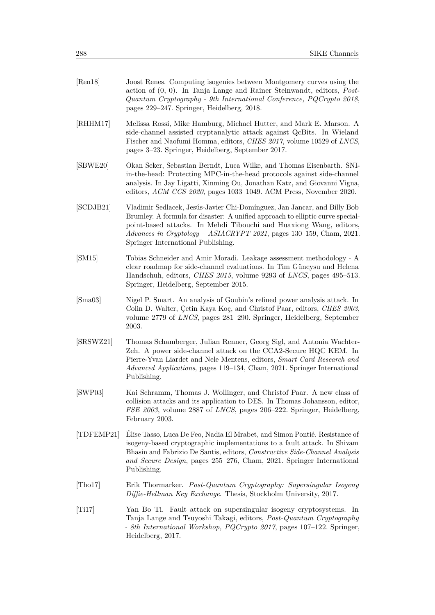<span id="page-24-10"></span><span id="page-24-9"></span><span id="page-24-8"></span><span id="page-24-7"></span><span id="page-24-6"></span><span id="page-24-5"></span><span id="page-24-4"></span><span id="page-24-3"></span><span id="page-24-2"></span><span id="page-24-1"></span><span id="page-24-0"></span>

| [Ren18]                     | Joost Renes. Computing isogenies between Montgomery curves using the<br>action of $(0, 0)$ . In Tanja Lange and Rainer Steinwandt, editors, <i>Post</i> -<br>Quantum Cryptography - 9th International Conference, PQCrypto 2018,<br>pages 229-247. Springer, Heidelberg, 2018.                                                                |
|-----------------------------|-----------------------------------------------------------------------------------------------------------------------------------------------------------------------------------------------------------------------------------------------------------------------------------------------------------------------------------------------|
| [RHHM17]                    | Melissa Rossi, Mike Hamburg, Michael Hutter, and Mark E. Marson. A<br>side-channel assisted cryptanalytic attack against QcBits. In Wieland<br>Fischer and Naofumi Homma, editors, <i>CHES 2017</i> , volume 10529 of <i>LNCS</i> ,<br>pages 3–23. Springer, Heidelberg, September 2017.                                                      |
| [SBWE20]                    | Okan Seker, Sebastian Berndt, Luca Wilke, and Thomas Eisenbarth. SNI-<br>in-the-head: Protecting MPC-in-the-head protocols against side-channel<br>analysis. In Jay Ligatti, Xinming Ou, Jonathan Katz, and Giovanni Vigna,<br>editors, ACM CCS 2020, pages 1033-1049. ACM Press, November 2020.                                              |
| [SCDJB21]                   | Vladimir Sedlacek, Jesús-Javier Chi-Domínguez, Jan Jancar, and Billy Bob<br>Brumley. A formula for disaster: A unified approach to elliptic curve special-<br>point-based attacks. In Mehdi Tibouchi and Huaxiong Wang, editors,<br>Advances in Cryptology – ASIACRYPT 2021, pages 130–159, Cham, 2021.<br>Springer International Publishing. |
| [SM15]                      | Tobias Schneider and Amir Moradi. Leakage assessment methodology - A<br>clear roadmap for side-channel evaluations. In Tim Güneysu and Helena<br>Handschuh, editors, <i>CHES 2015</i> , volume 9293 of <i>LNCS</i> , pages 495-513.<br>Springer, Heidelberg, September 2015.                                                                  |
| $[\text{Sma}03]$            | Nigel P. Smart. An analysis of Goubin's refined power analysis attack. In<br>Colin D. Walter, Çetin Kaya Koç, and Christof Paar, editors, CHES 2003,<br>volume 2779 of <i>LNCS</i> , pages 281–290. Springer, Heidelberg, September<br>2003.                                                                                                  |
| [SRSWZ21]                   | Thomas Schamberger, Julian Renner, Georg Sigl, and Antonia Wachter-<br>Zeh. A power side-channel attack on the CCA2-Secure HQC KEM. In<br>Pierre-Yvan Liardet and Nele Mentens, editors, Smart Card Research and<br>Advanced Applications, pages 119–134, Cham, 2021. Springer International<br>Publishing.                                   |
| [SWP03]                     | Kai Schramm, Thomas J. Wollinger, and Christof Paar. A new class of<br>collision attacks and its application to DES. In Thomas Johansson, editor,<br>FSE 2003, volume 2887 of LNCS, pages 206-222. Springer, Heidelberg,<br>February 2003.                                                                                                    |
| [TDFEMP21]                  | Elise Tasso, Luca De Feo, Nadia El Mrabet, and Simon Pontié. Resistance of<br>isogeny-based cryptographic implementations to a fault attack. In Shivam<br>Bhasin and Fabrizio De Santis, editors, Constructive Side-Channel Analysis<br>and Secure Design, pages 255–276, Cham, 2021. Springer International<br>Publishing.                   |
| $[{\rm Tho17}]$             | Erik Thormarker. Post-Quantum Cryptography: Supersingular Isogeny<br>Diffie-Hellman Key Exchange. Thesis, Stockholm University, 2017.                                                                                                                                                                                                         |
| $\left[ \text{Ti17}\right]$ | Yan Bo Ti. Fault attack on supersingular isogeny cryptosystems.<br>In<br>Tanja Lange and Tsuyoshi Takagi, editors, Post-Quantum Cryptography<br>- 8th International Workshop, PQCrypto 2017, pages 107-122. Springer,<br>Heidelberg, 2017.                                                                                                    |
|                             |                                                                                                                                                                                                                                                                                                                                               |